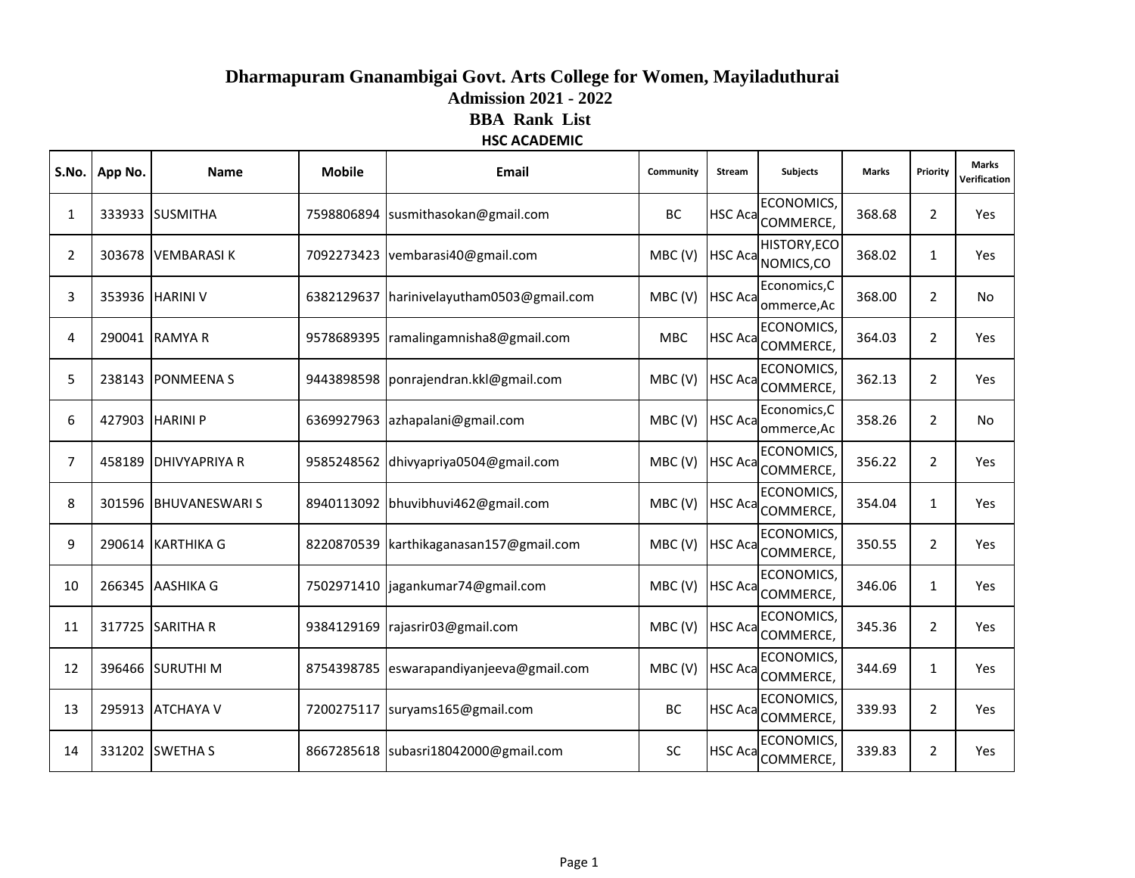# **HSC ACADEMIC Dharmapuram Gnanambigai Govt. Arts College for Women, Mayiladuthurai Admission 2021 - 2022 BBA Rank List**

| <b>ECONOMICS</b><br><b>BC</b><br><b>HSC Aca</b><br>368.68<br>333933 SUSMITHA<br>7598806894 susmithasokan@gmail.com<br>1<br>COMMERCE,<br><b>HISTORY, ECO</b><br>HSC Aca NOMICS, CO<br>2<br>303678 VEMBARASIK<br>7092273423 vembarasi40@gmail.com<br>MBC(V)<br>368.02<br>Economics, C<br>MBC(V)<br><b>HSC Aca</b><br>3<br>353936 HARINI V<br>6382129637 harinivelayutham0503@gmail.com<br>368.00<br>ommerce, Ac<br><b>ECONOMICS</b><br>HSC Aca COMMERCE,<br>290041 RAMYA R<br>364.03<br>4<br>9578689395   ramalingamnisha8@gmail.com<br><b>MBC</b><br>ECONOMICS,<br>5<br>MBC(V)<br>HSC Aca COMMERCE,<br>362.13<br>238143 PONMEENA S<br>9443898598   ponrajendran.kkl@gmail.com<br>Economics, C<br><b>HSC Aca</b><br>MBC(V)<br>358.26<br>6<br>427903 HARINI P<br>6369927963 azhapalani@gmail.com<br>ommerce, Ac<br><b>ECONOMICS</b><br>MBC(V)<br>9585248562 dhivyapriya0504@gmail.com<br><b>HSC Aca</b><br>356.22<br>7<br>458189 DHIVYAPRIYA R<br>COMMERCE,<br><b>ECONOMICS</b><br><b>HSC Aca</b><br>301596 BHUVANESWARIS<br>MBC(V)<br>354.04<br>8<br>8940113092 bhuvibhuvi462@gmail.com<br>COMMERCE,<br>ECONOMICS, | <b>Marks</b><br>Priority<br>Verification |
|------------------------------------------------------------------------------------------------------------------------------------------------------------------------------------------------------------------------------------------------------------------------------------------------------------------------------------------------------------------------------------------------------------------------------------------------------------------------------------------------------------------------------------------------------------------------------------------------------------------------------------------------------------------------------------------------------------------------------------------------------------------------------------------------------------------------------------------------------------------------------------------------------------------------------------------------------------------------------------------------------------------------------------------------------------------------------------------------------------------|------------------------------------------|
|                                                                                                                                                                                                                                                                                                                                                                                                                                                                                                                                                                                                                                                                                                                                                                                                                                                                                                                                                                                                                                                                                                                  | $\overline{2}$<br>Yes                    |
|                                                                                                                                                                                                                                                                                                                                                                                                                                                                                                                                                                                                                                                                                                                                                                                                                                                                                                                                                                                                                                                                                                                  | $\mathbf{1}$<br>Yes                      |
|                                                                                                                                                                                                                                                                                                                                                                                                                                                                                                                                                                                                                                                                                                                                                                                                                                                                                                                                                                                                                                                                                                                  | $\overline{2}$<br><b>No</b>              |
|                                                                                                                                                                                                                                                                                                                                                                                                                                                                                                                                                                                                                                                                                                                                                                                                                                                                                                                                                                                                                                                                                                                  | $\overline{2}$<br>Yes                    |
|                                                                                                                                                                                                                                                                                                                                                                                                                                                                                                                                                                                                                                                                                                                                                                                                                                                                                                                                                                                                                                                                                                                  | $\overline{2}$<br>Yes                    |
|                                                                                                                                                                                                                                                                                                                                                                                                                                                                                                                                                                                                                                                                                                                                                                                                                                                                                                                                                                                                                                                                                                                  | $\overline{2}$<br><b>No</b>              |
|                                                                                                                                                                                                                                                                                                                                                                                                                                                                                                                                                                                                                                                                                                                                                                                                                                                                                                                                                                                                                                                                                                                  | $\overline{2}$<br>Yes                    |
|                                                                                                                                                                                                                                                                                                                                                                                                                                                                                                                                                                                                                                                                                                                                                                                                                                                                                                                                                                                                                                                                                                                  | $\mathbf{1}$<br>Yes                      |
| MBC(V)<br>9<br>290614 KARTHIKA G<br>8220870539 karthikaganasan157@gmail.com<br><b>HSC Aca</b><br>350.55<br>COMMERCE,                                                                                                                                                                                                                                                                                                                                                                                                                                                                                                                                                                                                                                                                                                                                                                                                                                                                                                                                                                                             | $\overline{2}$<br>Yes                    |
| <b>ECONOMICS</b><br>MBC(V)<br><b>HSC Aca</b><br>10<br>266345 AASHIKA G<br>7502971410   jagankumar74@gmail.com<br>346.06<br>COMMERCE,                                                                                                                                                                                                                                                                                                                                                                                                                                                                                                                                                                                                                                                                                                                                                                                                                                                                                                                                                                             | $\mathbf{1}$<br>Yes                      |
| <b>ECONOMICS</b><br><b>HSC Aca</b><br>317725 SARITHA R<br>MBC(V)<br>345.36<br>11<br>9384129169   rajasrir03@gmail.com<br>COMMERCE,                                                                                                                                                                                                                                                                                                                                                                                                                                                                                                                                                                                                                                                                                                                                                                                                                                                                                                                                                                               | $\overline{2}$<br>Yes                    |
| <b>ECONOMICS</b><br>HSC Aca COMMERCE,<br>396466 SURUTHI M<br>MBC (V)<br>344.69<br>12<br>8754398785 eswarapandiyanjeeva@gmail.com                                                                                                                                                                                                                                                                                                                                                                                                                                                                                                                                                                                                                                                                                                                                                                                                                                                                                                                                                                                 | $\mathbf{1}$<br>Yes                      |
| ECONOMICS,<br>HSC Aca COMMERCE,<br>295913 ATCHAYA V<br>BC<br>339.93<br>13<br>7200275117   suryams165@gmail.com                                                                                                                                                                                                                                                                                                                                                                                                                                                                                                                                                                                                                                                                                                                                                                                                                                                                                                                                                                                                   | $\overline{2}$<br>Yes                    |
| ECONOMICS,<br>331202 SWETHA S<br><b>SC</b><br><b>HSC Aca</b><br>339.83<br>8667285618 subasri18042000@gmail.com<br>14<br>COMMERCE,                                                                                                                                                                                                                                                                                                                                                                                                                                                                                                                                                                                                                                                                                                                                                                                                                                                                                                                                                                                | $\overline{2}$<br><b>Yes</b>             |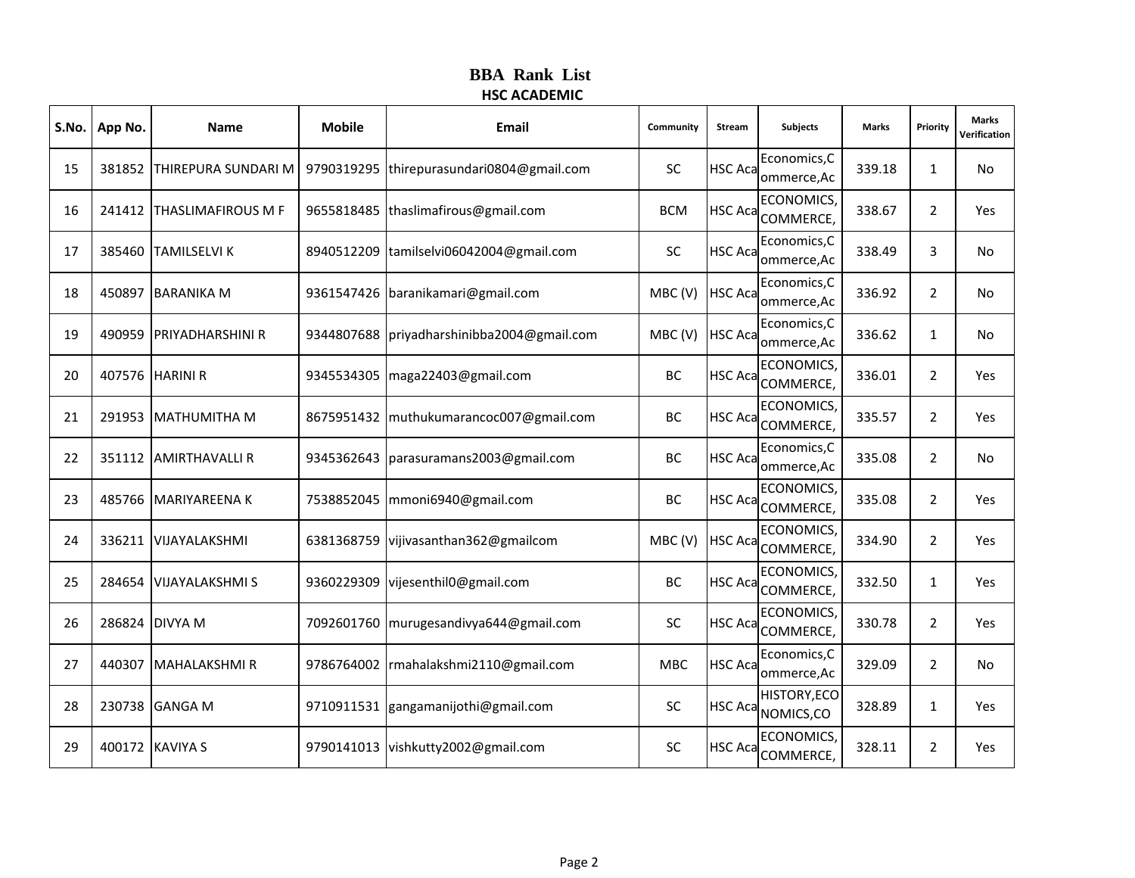| S.No. | App No. | <b>Name</b>                | <b>Mobile</b> | Email                               | Community  | Stream         | <b>Subjects</b>               | Marks  | Priority       | <b>Marks</b><br>Verification |
|-------|---------|----------------------------|---------------|-------------------------------------|------------|----------------|-------------------------------|--------|----------------|------------------------------|
| 15    | 381852  | <b>THIREPURA SUNDARI M</b> | 9790319295    | thirepurasundari0804@gmail.com      | <b>SC</b>  | <b>HSC Aca</b> | Economics, C<br>ommerce, Ac   | 339.18 | $\mathbf{1}$   | No                           |
| 16    |         | 241412 THASLIMAFIROUS M F  | 9655818485    | thaslimafirous@gmail.com            | <b>BCM</b> | <b>HSC Aca</b> | ECONOMICS,<br>COMMERCE,       | 338.67 | $\overline{2}$ | Yes                          |
| 17    | 385460  | <b>TAMILSELVI K</b>        | 8940512209    | tamilselvi06042004@gmail.com        | <b>SC</b>  | <b>HSC Aca</b> | Economics, C<br>ommerce, Ac   | 338.49 | 3              | No                           |
| 18    | 450897  | <b>BARANIKA M</b>          | 9361547426    | baranikamari@gmail.com              | MBC(V)     | <b>HSC Aca</b> | Economics, C<br>ommerce, Ac   | 336.92 | $\overline{2}$ | No.                          |
| 19    | 490959  | <b>PRIYADHARSHINI R</b>    | 9344807688    | priyadharshinibba2004@gmail.com     | MBC(V)     | <b>HSC Aca</b> | Economics, C<br>ommerce, Ac   | 336.62 | $\mathbf{1}$   | No                           |
| 20    |         | 407576 HARINI R            | 9345534305    | maga22403@gmail.com                 | BC         | <b>HSC Aca</b> | <b>ECONOMICS</b><br>COMMERCE, | 336.01 | $\overline{2}$ | Yes                          |
| 21    | 291953  | <b>MATHUMITHA M</b>        | 8675951432    | muthukumarancoc007@gmail.com        | ВC         | <b>HSC Aca</b> | ECONOMICS,<br>COMMERCE,       | 335.57 | $\overline{2}$ | Yes                          |
| 22    |         | 351112 AMIRTHAVALLI R      | 9345362643    | parasuramans2003@gmail.com          | BC         | <b>HSC Aca</b> | Economics, C<br>ommerce, Ac   | 335.08 | $\overline{2}$ | No                           |
| 23    | 485766  | <b>IMARIYAREENA K</b>      | 7538852045    | mmoni6940@gmail.com                 | BC         | <b>HSC Aca</b> | ECONOMICS<br>COMMERCE,        | 335.08 | $\overline{2}$ | Yes                          |
| 24    | 336211  | VIJAYALAKSHMI              | 6381368759    | vijivasanthan362@gmailcom           | MBC(V)     | <b>HSC Aca</b> | ECONOMICS,<br>COMMERCE,       | 334.90 | $\overline{2}$ | Yes                          |
| 25    | 284654  | <b>VIJAYALAKSHMI S</b>     | 9360229309    | vijesenthil0@gmail.com              | ВC         | <b>HSC Aca</b> | ECONOMICS<br>COMMERCE,        | 332.50 | $\mathbf{1}$   | Yes                          |
| 26    | 286824  | <b>DIVYA M</b>             | 7092601760    | murugesandivya644@gmail.com         | <b>SC</b>  | <b>HSC Aca</b> | <b>ECONOMICS</b><br>COMMERCE, | 330.78 | $\overline{2}$ | Yes                          |
| 27    | 440307  | <b>MAHALAKSHMIR</b>        | 9786764002    | rmahalakshmi2110@gmail.com          | <b>MBC</b> | <b>HSC Aca</b> | Economics, C<br>ommerce, Ac   | 329.09 | $\overline{2}$ | No                           |
| 28    | 230738  | <b>GANGA M</b>             |               | 9710911531 gangamanijothi@gmail.com | <b>SC</b>  | <b>HSC Aca</b> | HISTORY, ECO<br>NOMICS,CO     | 328.89 | $\mathbf{1}$   | Yes                          |
| 29    |         | 400172 KAVIYA S            |               | 9790141013 vishkutty2002@gmail.com  | SC         | <b>HSC Aca</b> | ECONOMICS,<br>COMMERCE,       | 328.11 | $\overline{2}$ | Yes                          |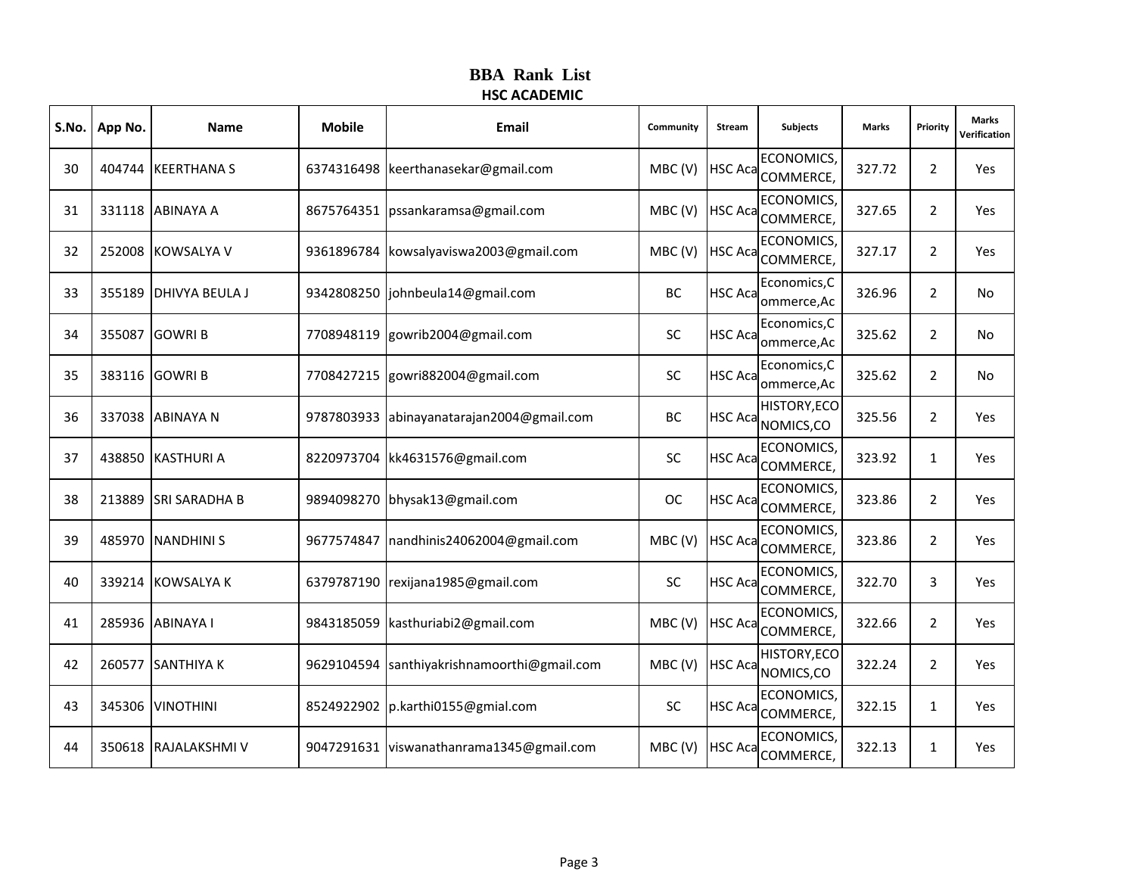|    | S.No.   App No. | <b>Name</b>           | <b>Mobile</b> | <b>Email</b>                     | Community | Stream         | <b>Subjects</b>                       | <b>Marks</b> | Priority       | <b>Marks</b><br>Verification |
|----|-----------------|-----------------------|---------------|----------------------------------|-----------|----------------|---------------------------------------|--------------|----------------|------------------------------|
| 30 |                 | 404744 KEERTHANA S    | 6374316498    | keerthanasekar@gmail.com         | MBC(V)    |                | <b>ECONOMICS</b><br>HSC Aca COMMERCE, | 327.72       | $\overline{2}$ | Yes                          |
| 31 |                 | 331118 ABINAYA A      | 8675764351    | pssankaramsa@gmail.com           | MBC(V)    | <b>HSC Aca</b> | <b>ECONOMICS,</b><br>COMMERCE,        | 327.65       | $\overline{2}$ | Yes                          |
| 32 |                 | 252008 KOWSALYA V     | 9361896784    | kowsalyaviswa2003@gmail.com      | MBC(V)    | <b>HSC Aca</b> | ECONOMICS,<br>COMMERCE,               | 327.17       | $\overline{2}$ | Yes                          |
| 33 |                 | 355189 DHIVYA BEULA J | 9342808250    | johnbeula14@gmail.com            | BC        | <b>HSC Aca</b> | Economics, C<br>ommerce, Ac           | 326.96       | $\overline{2}$ | No                           |
| 34 |                 | 355087 GOWRI B        | 7708948119    | gowrib2004@gmail.com             | <b>SC</b> | <b>HSC Aca</b> | Economics, C<br>ommerce, Ac           | 325.62       | $\overline{2}$ | No                           |
| 35 |                 | 383116 GOWRI B        | 7708427215    | gowri882004@gmail.com            | <b>SC</b> | <b>HSC Aca</b> | Economics, C<br>ommerce, Ac           | 325.62       | $\overline{2}$ | No                           |
| 36 |                 | 337038 ABINAYA N      | 9787803933    | abinayanatarajan2004@gmail.com   | BC        | <b>HSC Aca</b> | HISTORY, ECO<br>NOMICS, CO            | 325.56       | $\overline{2}$ | Yes                          |
| 37 |                 | 438850 KASTHURI A     | 8220973704    | kk4631576@gmail.com              | <b>SC</b> | <b>HSC Aca</b> | ECONOMICS,<br>COMMERCE,               | 323.92       | $\mathbf{1}$   | Yes                          |
| 38 | 213889          | <b>SRI SARADHA B</b>  | 9894098270    | bhysak13@gmail.com               | <b>OC</b> | <b>HSC Aca</b> | <b>ECONOMICS</b><br>COMMERCE,         | 323.86       | $\overline{2}$ | Yes                          |
| 39 |                 | 485970   NANDHINI S   | 9677574847    | nandhinis24062004@gmail.com      | MBC(V)    | <b>HSC Aca</b> | <b>ECONOMICS</b><br>COMMERCE,         | 323.86       | $\overline{2}$ | Yes                          |
| 40 |                 | 339214 KOWSALYA K     | 6379787190    | rexijana1985@gmail.com           | <b>SC</b> | <b>HSC Aca</b> | ECONOMICS,<br>COMMERCE,               | 322.70       | 3              | Yes                          |
| 41 | 285936          | <b>ABINAYA I</b>      | 9843185059    | kasthuriabi2@gmail.com           | MBC(V)    | <b>HSC Aca</b> | <b>ECONOMICS</b><br>COMMERCE,         | 322.66       | $\overline{2}$ | Yes                          |
| 42 |                 | 260577 SANTHIYA K     | 9629104594    | santhiyakrishnamoorthi@gmail.com | MBC(V)    | <b>HSC Aca</b> | HISTORY, ECO<br>NOMICS,CO             | 322.24       | $\overline{2}$ | Yes                          |
| 43 |                 | 345306 VINOTHINI      | 8524922902    | p.karthi0155@gmial.com           | <b>SC</b> | <b>HSC Aca</b> | ECONOMICS,<br>COMMERCE,               | 322.15       | $\mathbf{1}$   | Yes                          |
| 44 |                 | 350618 RAJALAKSHMI V  | 9047291631    | viswanathanrama1345@gmail.com    | MBC(V)    | <b>HSC Aca</b> | <b>ECONOMICS</b><br>COMMERCE,         | 322.13       | $\mathbf{1}$   | Yes                          |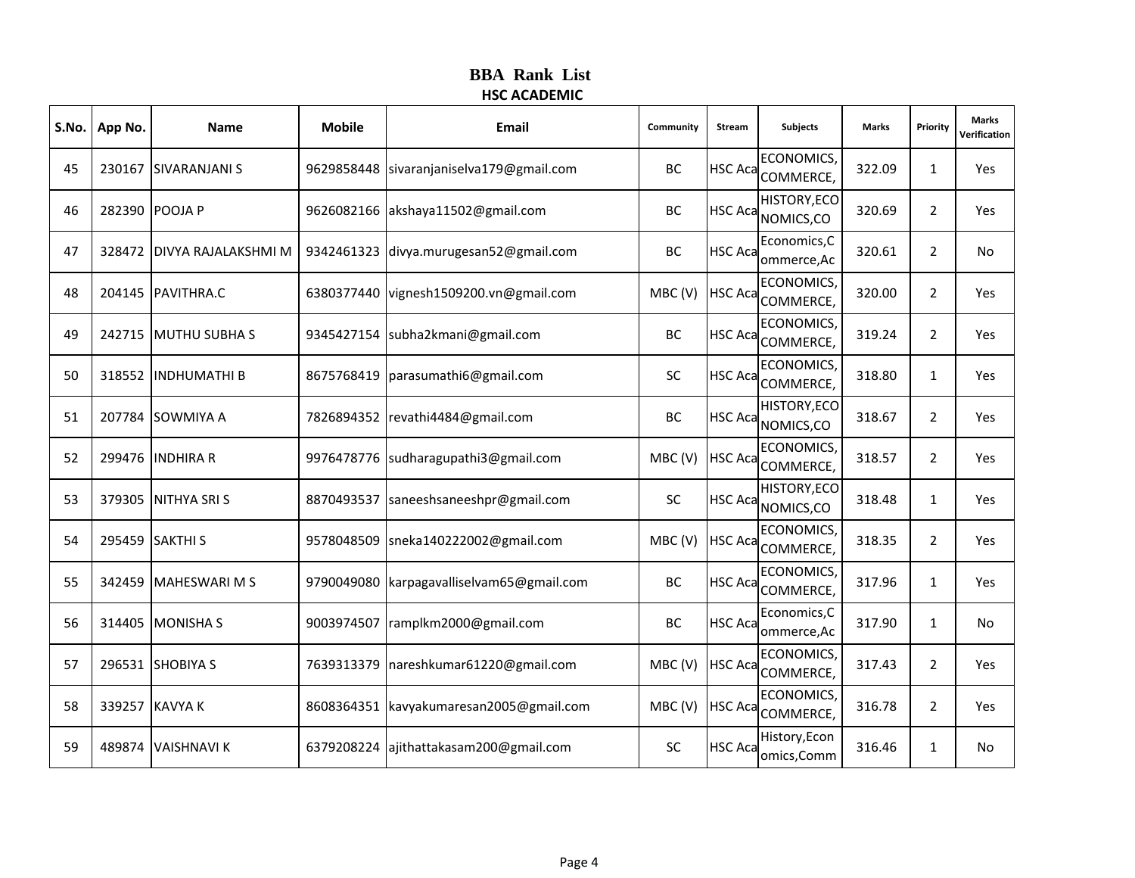| S.No. | App No. | Name                       | <b>Mobile</b> | Email                                 | Community | Stream         | <b>Subjects</b>                                   | <b>Marks</b> | Priority       | <b>Marks</b><br>Verification |
|-------|---------|----------------------------|---------------|---------------------------------------|-----------|----------------|---------------------------------------------------|--------------|----------------|------------------------------|
| 45    |         | 230167 SIVARANJANI S       | 9629858448    | sivaranjaniselva179@gmail.com         | BC        |                | <b>ECONOMICS</b><br>HSC Aca COMMERCE,             | 322.09       | $\mathbf{1}$   | Yes                          |
| 46    |         | 282390 POOJA P             | 9626082166    | akshaya11502@gmail.com                | BC        | <b>HSC Aca</b> | HISTORY, ECO<br>NOMICS,CO                         | 320.69       | $\overline{2}$ | Yes                          |
| 47    |         | 328472 DIVYA RAJALAKSHMI M | 9342461323    | divya.murugesan52@gmail.com           | <b>BC</b> | <b>HSC Aca</b> | Economics, C<br>ommerce, Ac                       | 320.61       | $\overline{2}$ | No                           |
| 48    |         | 204145 PAVITHRA.C          | 6380377440    | vignesh1509200.vn@gmail.com           | MBC(V)    |                | <b>ECONOMICS</b><br>HSC Aca <sub>COMMERCE</sub> , | 320.00       | $\overline{2}$ | Yes                          |
| 49    |         | 242715 MUTHU SUBHA S       |               | 9345427154 subha2kmani@gmail.com      | ВC        | <b>HSC Aca</b> | ECONOMICS,<br>COMMERCE,                           | 319.24       | $\overline{2}$ | Yes                          |
| 50    |         | 318552 IINDHUMATHI B       | 8675768419    | parasumathi6@gmail.com                | <b>SC</b> | <b>HSC Aca</b> | <b>ECONOMICS</b><br>COMMERCE,                     | 318.80       | $\mathbf{1}$   | Yes                          |
| 51    |         | 207784 SOWMIYA A           |               | 7826894352 revathi4484@gmail.com      | BC        |                | HISTORY, ECO<br>HSC Aca NOMICS, CO                | 318.67       | 2              | Yes                          |
| 52    |         | 299476 INDHIRA R           |               | 9976478776 sudharagupathi3@gmail.com  | MBC(V)    | <b>HSC Aca</b> | ECONOMICS,<br>COMMERCE,                           | 318.57       | $\overline{2}$ | Yes                          |
| 53    |         | 379305 INITHYA SRIS        | 8870493537    | saneeshsaneeshpr@gmail.com            | <b>SC</b> | <b>HSC Aca</b> | HISTORY, ECO<br>NOMICS, CO                        | 318.48       | $\mathbf{1}$   | Yes                          |
| 54    |         | 295459 SAKTHI S            |               | 9578048509 sneka140222002@gmail.com   | MBC(V)    | <b>HSC Aca</b> | <b>ECONOMICS</b><br>COMMERCE,                     | 318.35       | 2              | <b>Yes</b>                   |
| 55    |         | 342459 MAHESWARI M S       | 9790049080    | karpagavalliselvam65@gmail.com        | BC        | <b>HSC Aca</b> | ECONOMICS,<br>COMMERCE,                           | 317.96       | $\mathbf{1}$   | Yes                          |
| 56    |         | 314405 MONISHA S           | 9003974507    | ramplkm2000@gmail.com                 | BC        | <b>HSC Aca</b> | Economics, C<br>ommerce, Ac                       | 317.90       | $\mathbf{1}$   | <b>No</b>                    |
| 57    |         | 296531 SHOBIYA S           |               | 7639313379 nareshkumar61220@gmail.com | MBC(V)    | <b>HSC Aca</b> | <b>ECONOMICS</b><br>COMMERCE,                     | 317.43       | $\overline{2}$ | <b>Yes</b>                   |
| 58    |         | 339257 KAVYA K             | 8608364351    | kavyakumaresan2005@gmail.com          | MBC(V)    | <b>HSC Aca</b> | ECONOMICS,<br>COMMERCE,                           | 316.78       | $\overline{2}$ | Yes                          |
| 59    |         | 489874 VAISHNAVI K         | 6379208224    | ajithattakasam200@gmail.com           | <b>SC</b> | <b>HSC Aca</b> | History, Econ<br>omics, Comm                      | 316.46       | $\mathbf{1}$   | No                           |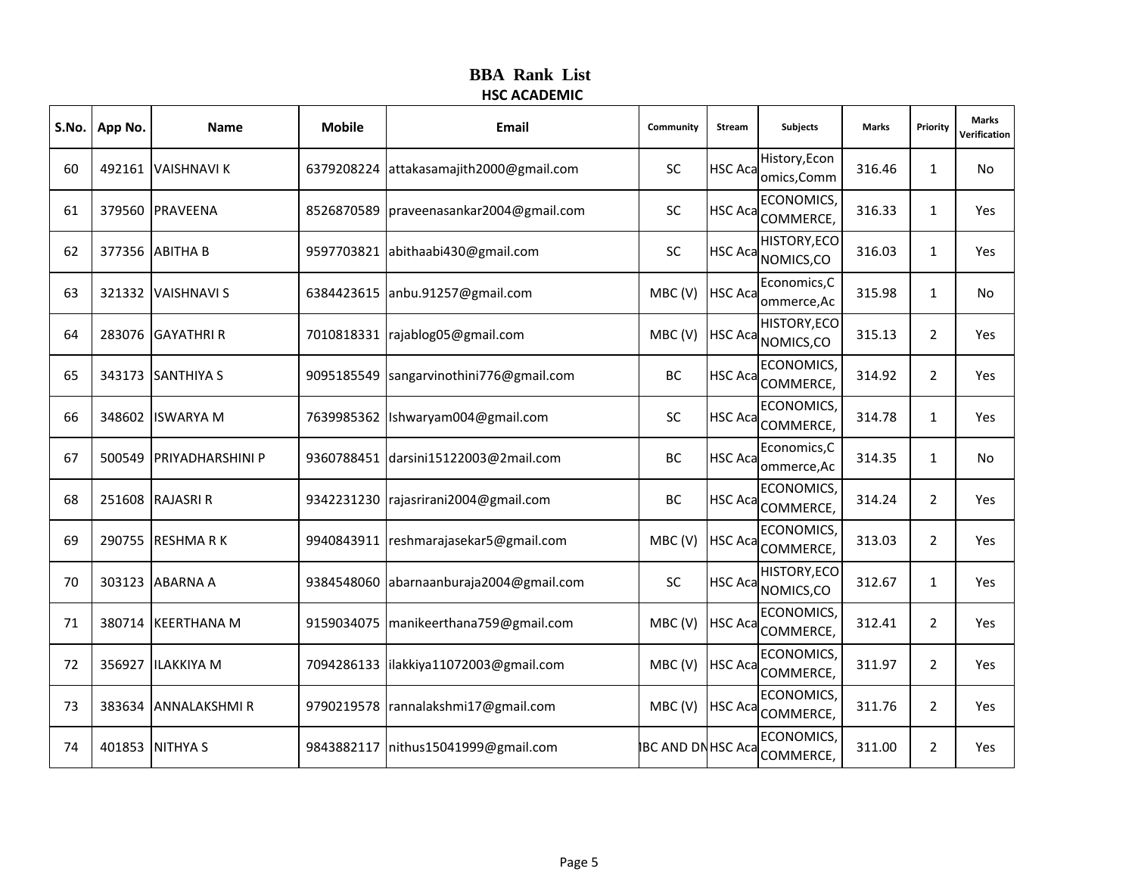| S.No. | App No. | <b>Name</b>             | <b>Mobile</b> | Email                                  | Community                | <b>Stream</b>  | <b>Subjects</b>                  | <b>Marks</b> | Priority       | <b>Marks</b><br>Verification |
|-------|---------|-------------------------|---------------|----------------------------------------|--------------------------|----------------|----------------------------------|--------------|----------------|------------------------------|
| 60    |         | 492161 VAISHNAVI K      | 6379208224    | attakasamajith2000@gmail.com           | <b>SC</b>                | <b>HSC Aca</b> | History, Econ<br>omics, Comm     | 316.46       | $\mathbf{1}$   | No                           |
| 61    |         | 379560 PRAVEENA         | 8526870589    | praveenasankar2004@gmail.com           | <b>SC</b>                | <b>HSC Aca</b> | <b>ECONOMICS</b><br>COMMERCE,    | 316.33       | $\mathbf{1}$   | Yes                          |
| 62    |         | 377356 ABITHA B         | 9597703821    | abithaabi430@gmail.com                 | <b>SC</b>                | <b>HSC Aca</b> | HISTORY, ECO<br>NOMICS,CO        | 316.03       | $\mathbf{1}$   | Yes                          |
| 63    |         | 321332 VAISHNAVI S      |               | 6384423615 anbu.91257@gmail.com        | MBC(V)                   | <b>HSC Aca</b> | Economics, C<br>ommerce, Ac      | 315.98       | $\mathbf{1}$   | No                           |
| 64    |         | 283076 GAYATHRI R       | 7010818331    | rajablog05@gmail.com                   | MBC(V)                   | <b>HSC Aca</b> | <b>HISTORY, ECO</b><br>NOMICS,CO | 315.13       | $\overline{2}$ | Yes                          |
| 65    |         | 343173 SANTHIYA S       | 9095185549    | sangarvinothini776@gmail.com           | BC                       | <b>HSC Aca</b> | ECONOMICS,<br>COMMERCE,          | 314.92       | $\overline{2}$ | Yes                          |
| 66    |         | 348602 ISWARYA M        |               | 7639985362 Ishwaryam004@gmail.com      | <b>SC</b>                | <b>HSC Aca</b> | <b>ECONOMICS</b><br>COMMERCE,    | 314.78       | $\mathbf{1}$   | Yes                          |
| 67    |         | 500549 PRIYADHARSHINI P | 9360788451    | darsini15122003@2mail.com              | BC                       | <b>HSC Aca</b> | Economics, C<br>ommerce, Ac      | 314.35       | $\mathbf{1}$   | No                           |
| 68    |         | 251608 RAJASRI R        | 9342231230    | rajasrirani2004@gmail.com              | BC                       | <b>HSC Aca</b> | <b>ECONOMICS</b><br>COMMERCE,    | 314.24       | 2              | Yes                          |
| 69    |         | 290755 RESHMARK         | 9940843911    | reshmarajasekar5@gmail.com             | MBC(V)                   | <b>HSC Aca</b> | ECONOMICS,<br>COMMERCE,          | 313.03       | $\overline{2}$ | Yes                          |
| 70    |         | 303123 ABARNA A         | 9384548060    | abarnaanburaja2004@gmail.com           | SC                       | <b>HSC Aca</b> | <b>HISTORY, ECO</b><br>NOMICS,CO | 312.67       | $\mathbf{1}$   | Yes                          |
| 71    |         | 380714 KEERTHANA M      | 9159034075    | manikeerthana759@gmail.com             | MBC(V)                   | <b>HSC Aca</b> | <b>ECONOMICS</b><br>COMMERCE,    | 312.41       | $\overline{2}$ | Yes                          |
| 72    |         | 356927 ILAKKIYA M       |               | 7094286133 lilakkiya11072003@gmail.com | MBC(V)                   | <b>HSC Aca</b> | <b>ECONOMICS</b><br>COMMERCE,    | 311.97       | $\overline{2}$ | Yes                          |
| 73    |         | 383634 ANNALAKSHMIR     |               | 9790219578 rannalakshmi17@gmail.com    | MBC(V)                   | <b>HSC Aca</b> | ECONOMICS,<br>COMMERCE,          | 311.76       | $\overline{2}$ | Yes                          |
| 74    |         | 401853 NITHYA S         | 9843882117    | nithus15041999@gmail.com               | <b>BC AND DN HSC Aca</b> |                | <b>ECONOMICS</b><br>COMMERCE,    | 311.00       | $\overline{2}$ | Yes                          |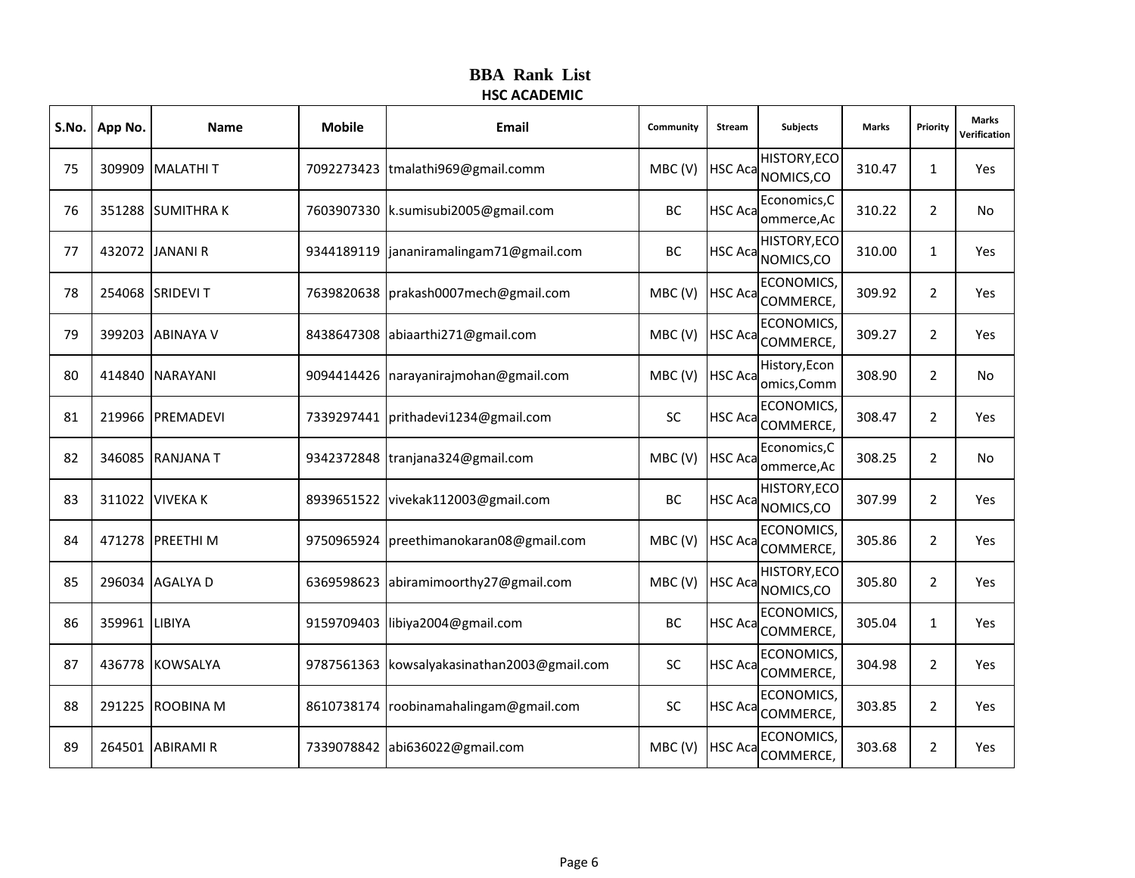| S.No. | App No.       | Name             | <b>Mobile</b> | Email                                       | Community | Stream         | <b>Subjects</b>                           | Marks  | Priority       | <b>Marks</b><br>Verification |
|-------|---------------|------------------|---------------|---------------------------------------------|-----------|----------------|-------------------------------------------|--------|----------------|------------------------------|
| 75    |               | 309909 MALATHI T |               | 7092273423 tmalathi969@gmail.comm           | MBC(V)    |                | <b>HISTORY, ECO</b><br>HSC Aca NOMICS, CO | 310.47 | $\mathbf{1}$   | Yes                          |
| 76    |               | 351288 SUMITHRAK |               | 7603907330   k.sumisubi2005@gmail.com       | BC        | <b>HSC Aca</b> | Economics, C<br>ommerce, Ac               | 310.22 | $\overline{2}$ | No                           |
| 77    |               | 432072 JANANI R  | 9344189119    | jananiramalingam71@gmail.com                | BC        | <b>HSC Aca</b> | <b>HISTORY, ECO</b><br>NOMICS,CO          | 310.00 | $\mathbf{1}$   | Yes                          |
| 78    |               | 254068 SRIDEVIT  |               | 7639820638   prakash0007 mech@gmail.com     | MBC(V)    |                | <b>ECONOMICS</b><br>HSC Aca COMMERCE,     | 309.92 | $\overline{2}$ | Yes                          |
| 79    |               | 399203 ABINAYA V | 8438647308    | abiaarthi271@gmail.com                      | MBC(V)    | <b>HSC Aca</b> | ECONOMICS,<br>COMMERCE,                   | 309.27 | $\overline{2}$ | Yes                          |
| 80    |               | 414840 NARAYANI  | 9094414426    | narayanirajmohan@gmail.com                  | MBC(V)    | <b>HSC Aca</b> | History, Econ<br>omics, Comm              | 308.90 | $\overline{2}$ | No                           |
| 81    |               | 219966 PREMADEVI |               | 7339297441 prithadevi1234@gmail.com         | SC        | <b>HSC Aca</b> | <b>ECONOMICS</b><br>COMMERCE,             | 308.47 | $\overline{2}$ | Yes                          |
| 82    |               | 346085 RANJANA T |               | 9342372848 tranjana324@gmail.com            | MBC(V)    | <b>HSC Aca</b> | Economics, C<br>ommerce, Ac               | 308.25 | $\overline{2}$ | No                           |
| 83    | 311022        | <b>VIVEKA K</b>  | 8939651522    | vivekak112003@gmail.com                     | BC        | <b>HSC Aca</b> | <b>HISTORY, ECO</b><br>NOMICS,CO          | 307.99 | $\overline{2}$ | Yes                          |
| 84    |               | 471278 PREETHI M | 9750965924    | preethimanokaran08@gmail.com                | MBC(V)    | <b>HSC Aca</b> | <b>ECONOMICS</b><br>COMMERCE,             | 305.86 | $\overline{2}$ | Yes                          |
| 85    |               | 296034 AGALYA D  | 6369598623    | abiramimoorthy27@gmail.com                  | MBC(V)    | <b>HSC Aca</b> | <b>HISTORY, ECO</b><br>NOMICS,CO          | 305.80 | 2              | Yes                          |
| 86    | 359961 LIBIYA |                  | 9159709403    | libiya2004@gmail.com                        | BC        | <b>HSC Aca</b> | ECONOMICS,<br>COMMERCE,                   | 305.04 | $\mathbf{1}$   | Yes                          |
| 87    |               | 436778 KOWSALYA  |               | 9787561363 kowsalyakasinathan2003@gmail.com | SC        | <b>HSC Aca</b> | <b>ECONOMICS</b><br>COMMERCE,             | 304.98 | $\overline{2}$ | Yes                          |
| 88    |               | 291225 ROOBINA M | 8610738174    | roobinamahalingam@gmail.com                 | SC        | <b>HSC Aca</b> | ECONOMICS,<br>COMMERCE,                   | 303.85 | $\overline{2}$ | Yes                          |
| 89    | 264501        | <b>ABIRAMI R</b> | 7339078842    | abi636022@gmail.com                         | MBC(V)    | <b>HSC Aca</b> | <b>ECONOMICS</b><br>COMMERCE,             | 303.68 | $\overline{2}$ | Yes                          |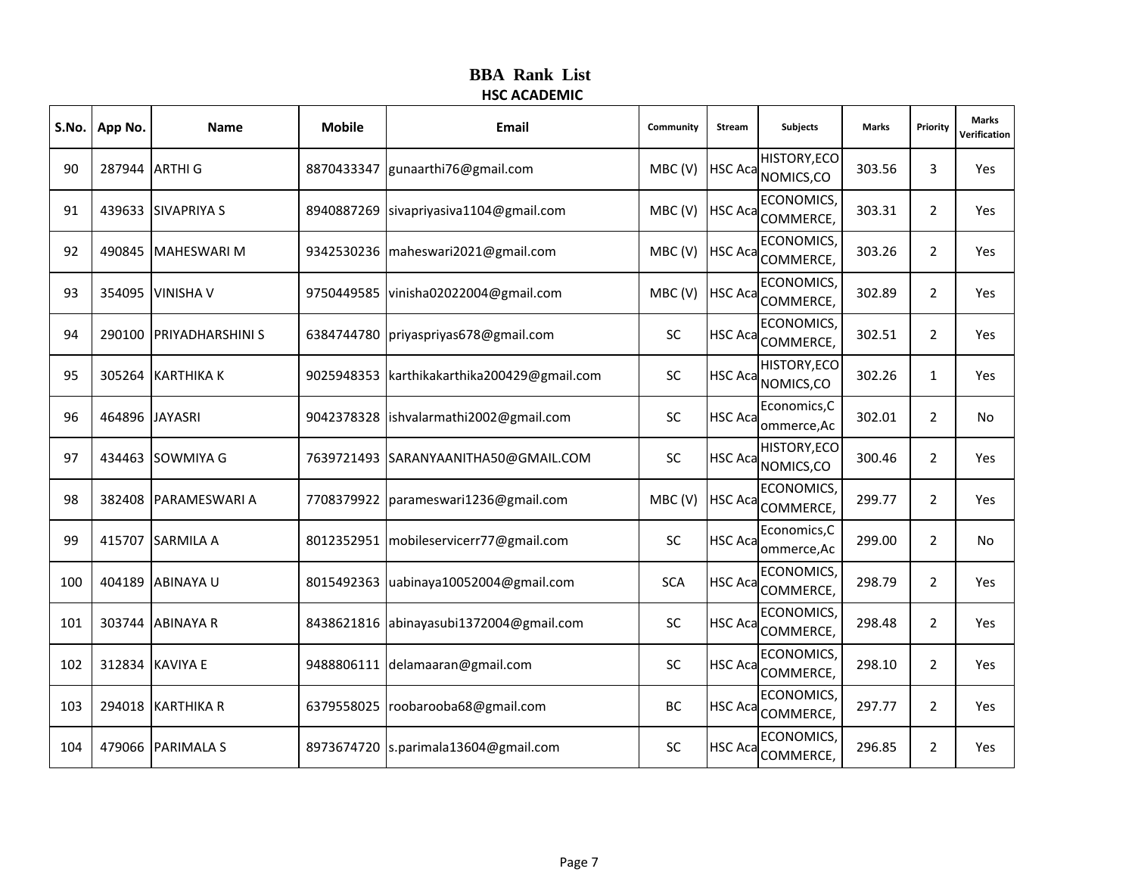|     | S.No.   App No. | <b>Name</b>             | <b>Mobile</b> | Email                                    | Community  | Stream         | <b>Subjects</b>                    | <b>Marks</b> | Priority       | <b>Marks</b><br>Verification |
|-----|-----------------|-------------------------|---------------|------------------------------------------|------------|----------------|------------------------------------|--------------|----------------|------------------------------|
| 90  |                 | 287944 ARTHI G          | 8870433347    | gunaarthi76@gmail.com                    | MBC(V)     |                | HISTORY, ECO<br>HSC Aca NOMICS, CO | 303.56       | 3              | Yes                          |
| 91  |                 | 439633 SIVAPRIYA S      | 8940887269    | sivapriyasiva1104@gmail.com              | MBC(V)     | <b>HSC Aca</b> | ECONOMICS,<br>COMMERCE,            | 303.31       | 2              | Yes                          |
| 92  |                 | 490845   MAHESWARI M    | 9342530236    | maheswari2021@gmail.com                  | MBC(V)     | <b>HSC Aca</b> | ECONOMICS,<br>COMMERCE,            | 303.26       | $\overline{2}$ | Yes                          |
| 93  |                 | 354095 VINISHA V        |               | 9750449585 vinisha02022004@gmail.com     | MBC(V)     | <b>HSC Aca</b> | <b>ECONOMICS</b><br>COMMERCE,      | 302.89       | 2              | Yes                          |
| 94  |                 | 290100 PRIYADHARSHINI S | 6384744780    | priyaspriyas678@gmail.com                | <b>SC</b>  | <b>HSC Aca</b> | <b>ECONOMICS,</b><br>COMMERCE,     | 302.51       | $\overline{2}$ | Yes                          |
| 95  |                 | 305264 KARTHIKA K       | 9025948353    | karthikakarthika200429@gmail.com         | <b>SC</b>  | <b>HSC Aca</b> | HISTORY, ECO<br>NOMICS,CO          | 302.26       | $\mathbf{1}$   | Yes                          |
| 96  |                 | 464896 JAYASRI          |               | 9042378328 ishvalarmathi2002@gmail.com   | <b>SC</b>  | <b>HSC Aca</b> | Economics, C<br>ommerce, Ac        | 302.01       | 2              | No                           |
| 97  |                 | 434463 SOWMIYA G        |               | 7639721493 SARANYAANITHA50@GMAIL.COM     | <b>SC</b>  | <b>HSC Aca</b> | HISTORY, ECO<br>NOMICS,CO          | 300.46       | 2              | Yes                          |
| 98  |                 | 382408 PARAMESWARI A    |               | 7708379922   parameswari1236@gmail.com   | MBC(V)     | <b>HSC Aca</b> | <b>ECONOMICS</b><br>COMMERCE,      | 299.77       | 2              | Yes                          |
| 99  |                 | 415707 SARMILA A        |               | 8012352951   mobileservicerr77@gmail.com | <b>SC</b>  | <b>HSC Aca</b> | Economics, C<br>ommerce, Ac        | 299.00       | 2              | No                           |
| 100 |                 | 404189 ABINAYA U        | 8015492363    | uabinaya10052004@gmail.com               | <b>SCA</b> | <b>HSC Aca</b> | ECONOMICS,<br>COMMERCE,            | 298.79       | 2              | Yes                          |
| 101 |                 | 303744 ABINAYA R        | 8438621816    | abinayasubi1372004@gmail.com             | SC         | <b>HSC Aca</b> | <b>ECONOMICS</b><br>COMMERCE,      | 298.48       | $\overline{2}$ | Yes                          |
| 102 |                 | 312834 KAVIYA E         |               | 9488806111 delamaaran@gmail.com          | <b>SC</b>  | <b>HSC Aca</b> | <b>ECONOMICS</b><br>COMMERCE,      | 298.10       | 2              | Yes                          |
| 103 |                 | 294018 KARTHIKA R       | 6379558025    | roobarooba68@gmail.com                   | BC         | <b>HSC Aca</b> | <b>ECONOMICS,</b><br>COMMERCE,     | 297.77       | $\overline{2}$ | Yes                          |
| 104 |                 | 479066 PARIMALA S       |               | 8973674720 s.parimala13604@gmail.com     | SC         | HSC Aca        | <b>ECONOMICS</b><br>COMMERCE,      | 296.85       | $\overline{2}$ | Yes                          |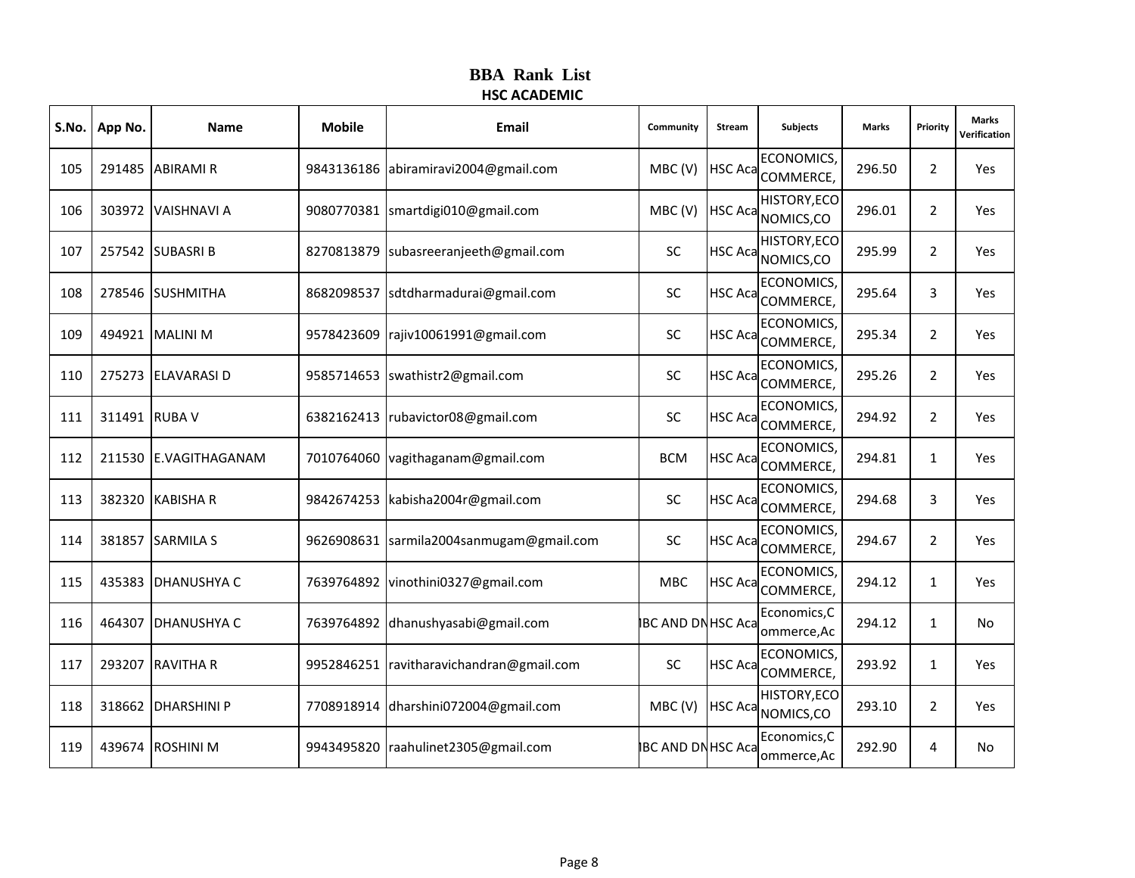|     | S.No.   App No. | Name                  | <b>Mobile</b> | Email                                    | Community                | Stream         | <b>Subjects</b>                       | <b>Marks</b> | Priority       | <b>Marks</b><br>Verification |
|-----|-----------------|-----------------------|---------------|------------------------------------------|--------------------------|----------------|---------------------------------------|--------------|----------------|------------------------------|
| 105 |                 | 291485 ABIRAMI R      |               | 9843136186 abiramiravi2004@gmail.com     | MBC(V)                   |                | <b>ECONOMICS</b><br>HSC Aca COMMERCE, | 296.50       | $\overline{2}$ | Yes                          |
| 106 |                 | 303972 VAISHNAVI A    |               | 9080770381 smartdigi010@gmail.com        | MBC(V)                   | <b>HSC Aca</b> | HISTORY, ECO<br>NOMICS,CO             | 296.01       | 2              | Yes                          |
| 107 |                 | 257542 SUBASRI B      | 8270813879    | subasreeranjeeth@gmail.com               | <b>SC</b>                | <b>HSC Aca</b> | HISTORY, ECO<br>NOMICS,CO             | 295.99       | $\overline{2}$ | Yes                          |
| 108 |                 | 278546 SUSHMITHA      | 8682098537    | sdtdharmadurai@gmail.com                 | <b>SC</b>                | <b>HSC Aca</b> | <b>ECONOMICS</b><br>COMMERCE,         | 295.64       | 3              | Yes                          |
| 109 |                 | 494921 MALINI M       | 9578423609    | rajiv10061991@gmail.com                  | SC                       | <b>HSC Aca</b> | <b>ECONOMICS,</b><br>COMMERCE,        | 295.34       | 2              | Yes                          |
| 110 |                 | 275273 ELAVARASI D    | 9585714653    | swathistr2@gmail.com                     | <b>SC</b>                | <b>HSC Aca</b> | <b>ECONOMICS</b><br>COMMERCE,         | 295.26       | $\overline{2}$ | Yes                          |
| 111 | 311491 RUBA V   |                       |               | 6382162413   rubavictor08@gmail.com      | <b>SC</b>                | <b>HSC Aca</b> | <b>ECONOMICS</b><br>COMMERCE,         | 294.92       | 2              | Yes                          |
| 112 |                 | 211530 E.VAGITHAGANAM |               | 7010764060 vagithaganam@gmail.com        | <b>BCM</b>               | <b>HSC Aca</b> | <b>ECONOMICS,</b><br>COMMERCE,        | 294.81       | $\mathbf{1}$   | Yes                          |
| 113 |                 | 382320 KABISHA R      | 9842674253    | kabisha2004r@gmail.com                   | <b>SC</b>                | <b>HSC Aca</b> | <b>ECONOMICS</b><br>COMMERCE,         | 294.68       | 3              | Yes                          |
| 114 |                 | 381857 SARMILA S      |               | 9626908631 sarmila2004sanmugam@gmail.com | <b>SC</b>                | <b>HSC Aca</b> | <b>ECONOMICS</b><br>COMMERCE,         | 294.67       | $\overline{2}$ | Yes                          |
| 115 |                 | 435383 DHANUSHYA C    |               | 7639764892 vinothini0327@gmail.com       | <b>MBC</b>               | <b>HSC Aca</b> | ECONOMICS,<br>COMMERCE,               | 294.12       | $\mathbf{1}$   | Yes                          |
| 116 | 464307          | <b>DHANUSHYA C</b>    | 7639764892    | dhanushyasabi@gmail.com                  | <b>BC AND DN HSC Aca</b> |                | Economics, C<br>ommerce, Ac           | 294.12       | $\mathbf{1}$   | No                           |
| 117 |                 | 293207 RAVITHA R      |               | 9952846251 ravitharavichandran@gmail.com | <b>SC</b>                | <b>HSC Aca</b> | ECONOMICS,<br>COMMERCE,               | 293.92       | $\mathbf{1}$   | Yes                          |
| 118 |                 | 318662 DHARSHINI P    | 7708918914    | dharshini072004@gmail.com                | MBC(V)                   | <b>HSC Aca</b> | HISTORY, ECO<br>NOMICS,CO             | 293.10       | $\overline{2}$ | Yes                          |
| 119 |                 | 439674 ROSHINI M      | 9943495820    | raahulinet2305@gmail.com                 | <b>BC AND DNHSC Aca</b>  |                | Economics, C<br>ommerce, Ac           | 292.90       | 4              | No                           |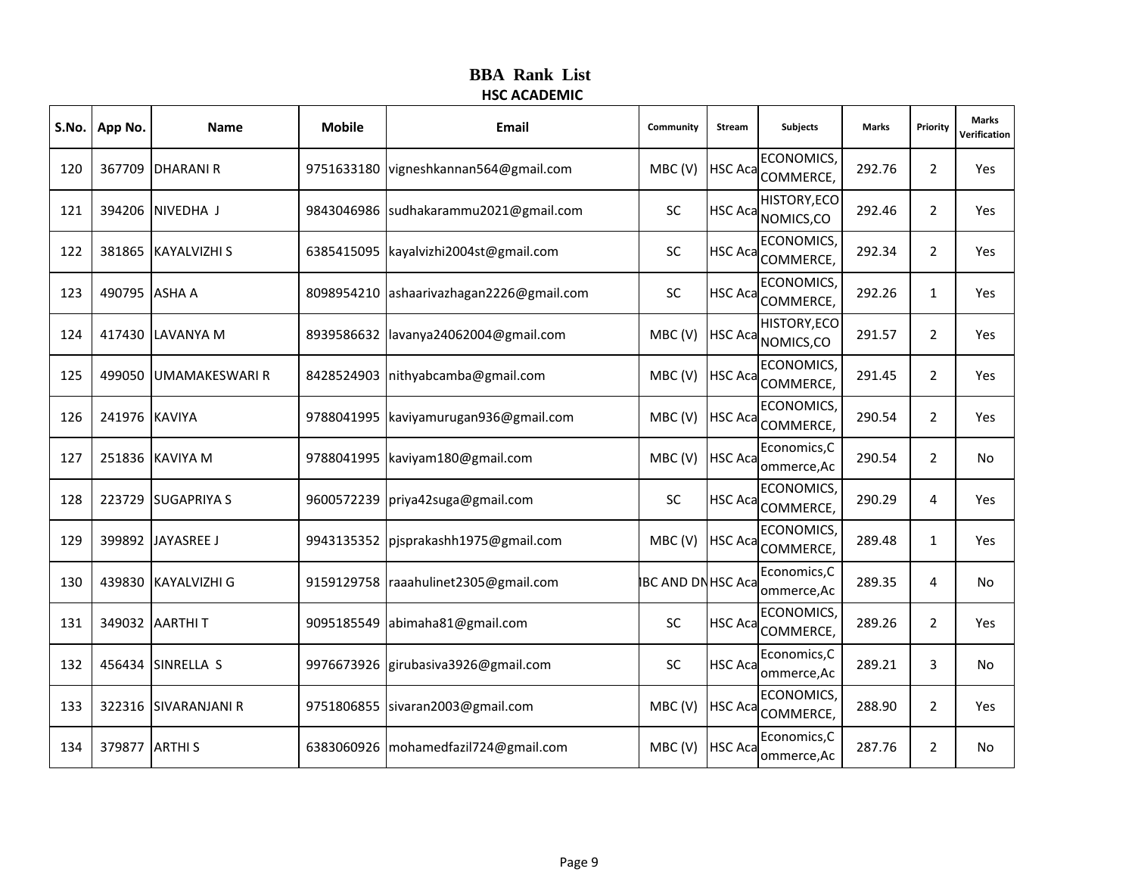| S.No. | App No.       | <b>Name</b>           | <b>Mobile</b> | Email                         | Community               | Stream         | <b>Subjects</b>                       | <b>Marks</b> | Priority       | <b>Marks</b><br>Verification |
|-------|---------------|-----------------------|---------------|-------------------------------|-------------------------|----------------|---------------------------------------|--------------|----------------|------------------------------|
| 120   |               | 367709 DHARANI R      | 9751633180    | vigneshkannan564@gmail.com    | MBC(V)                  |                | <b>ECONOMICS</b><br>HSC Aca COMMERCE, | 292.76       | $\overline{2}$ | Yes                          |
| 121   |               | 394206 NIVEDHA J      | 9843046986    | sudhakarammu2021@gmail.com    | <b>SC</b>               | <b>HSC Aca</b> | HISTORY, ECO<br>NOMICS,CO             | 292.46       | $\overline{2}$ | Yes                          |
| 122   |               | 381865 KAYALVIZHI S   | 6385415095    | kayalvizhi2004st@gmail.com    | SC                      | <b>HSC Aca</b> | ECONOMICS,<br>COMMERCE,               | 292.34       | $\overline{2}$ | Yes                          |
| 123   | 490795 ASHA A |                       | 8098954210    | ashaarivazhagan2226@gmail.com | SC                      |                | <b>ECONOMICS</b><br>HSC Aca COMMERCE, | 292.26       | $\mathbf{1}$   | Yes                          |
| 124   |               | 417430 LAVANYA M      | 8939586632    | lavanya24062004@gmail.com     | MBC(V)                  | <b>HSC Aca</b> | HISTORY, ECO<br>NOMICS,CO             | 291.57       | $\overline{2}$ | Yes                          |
| 125   | 499050        | <b>UMAMAKESWARI R</b> | 8428524903    | nithyabcamba@gmail.com        | MBC(V)                  | <b>HSC Aca</b> | ECONOMICS,<br>COMMERCE,               | 291.45       | $\overline{2}$ | Yes                          |
| 126   | 241976 KAVIYA |                       | 9788041995    | kaviyamurugan936@gmail.com    | MBC(V)                  | <b>HSC Aca</b> | <b>ECONOMICS</b><br>COMMERCE,         | 290.54       | $\overline{2}$ | Yes                          |
| 127   |               | 251836 KAVIYA M       | 9788041995    | kaviyam180@gmail.com          | MBC(V)                  | <b>HSC Aca</b> | Economics, C<br>ommerce, Ac           | 290.54       | $\overline{2}$ | No                           |
| 128   |               | 223729 SUGAPRIYA S    | 9600572239    | priya42suga@gmail.com         | <b>SC</b>               | <b>HSC Aca</b> | <b>ECONOMICS</b><br>COMMERCE,         | 290.29       | 4              | Yes                          |
| 129   |               | 399892 JAYASREE J     | 9943135352    | pjsprakashh1975@gmail.com     | MBC(V)                  | <b>HSC Aca</b> | <b>ECONOMICS</b><br>COMMERCE,         | 289.48       | $\mathbf{1}$   | Yes                          |
| 130   |               | 439830 KAYALVIZHI G   | 9159129758    | raaahulinet2305@gmail.com     | <b>BC AND DNHSC Aca</b> |                | Economics, C<br>ommerce, Ac           | 289.35       | 4              | No                           |
| 131   |               | 349032 AARTHIT        | 9095185549    | abimaha81@gmail.com           | <b>SC</b>               | <b>HSC Aca</b> | ECONOMICS,<br>COMMERCE,               | 289.26       | $\overline{2}$ | Yes                          |
| 132   |               | 456434 SINRELLA S     | 9976673926    | girubasiva3926@gmail.com      | <b>SC</b>               | <b>HSC Aca</b> | Economics, C<br>ommerce, Ac           | 289.21       | 3              | No                           |
| 133   |               | 322316 SIVARANJANI R  | 9751806855    | sivaran2003@gmail.com         | MBC(V)                  | <b>HSC Aca</b> | <b>ECONOMICS,</b><br>COMMERCE,        | 288.90       | $\overline{2}$ | Yes                          |
| 134   | 379877        | <b>ARTHIS</b>         | 6383060926    | mohamedfazil724@gmail.com     | MBC(V)                  | <b>HSC Aca</b> | Economics, C<br>ommerce, Ac           | 287.76       | $\overline{2}$ | No                           |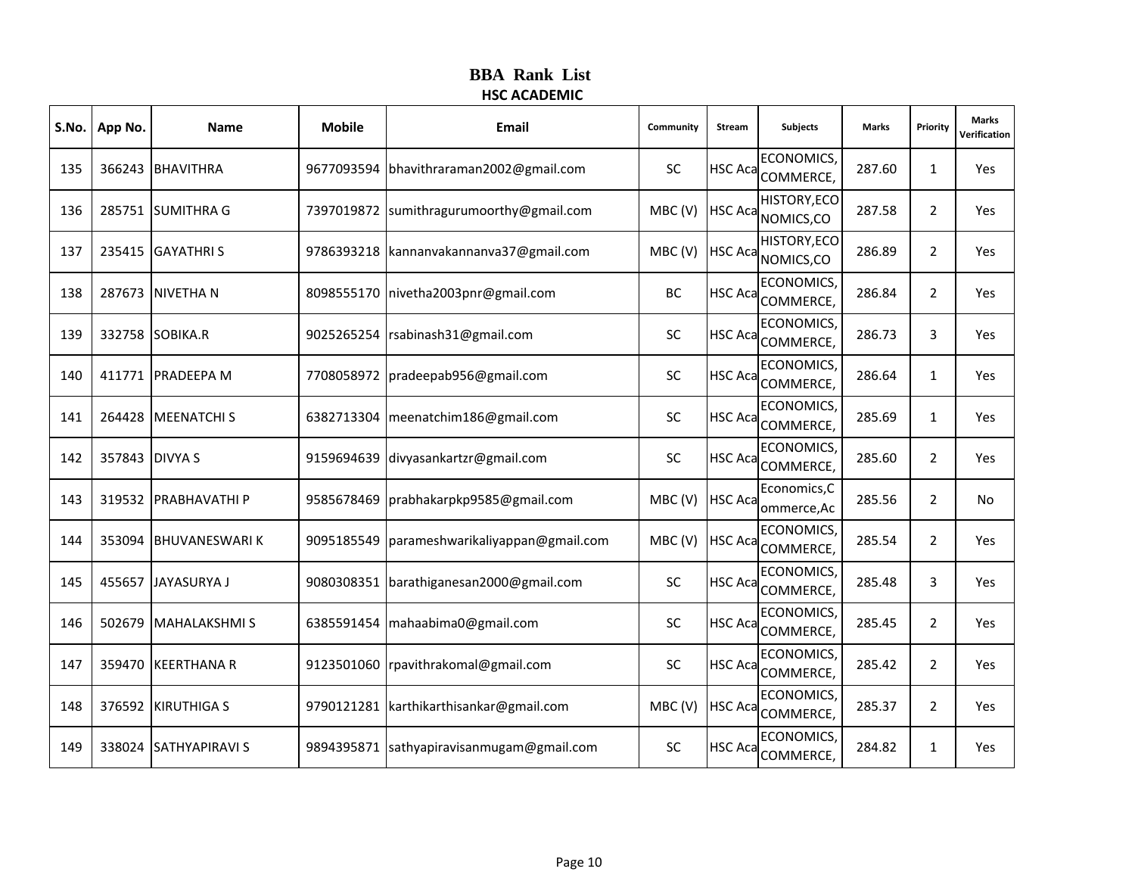|     | S.No.   App No. | Name                  | <b>Mobile</b> | Email                                     | Community | Stream          | <b>Subjects</b>                       | <b>Marks</b> | Priority       | <b>Marks</b><br>Verification |
|-----|-----------------|-----------------------|---------------|-------------------------------------------|-----------|-----------------|---------------------------------------|--------------|----------------|------------------------------|
| 135 |                 | 366243 BHAVITHRA      | 9677093594    | bhavithraraman2002@gmail.com              | SC        |                 | <b>ECONOMICS</b><br>HSC Aca COMMERCE, | 287.60       | $\mathbf{1}$   | Yes                          |
| 136 |                 | 285751 SUMITHRA G     | 7397019872    | sumithragurumoorthy@gmail.com             | MBC(V)    | <b>HSC Aca</b>  | <b>HISTORY, ECO</b><br>NOMICS,CO      | 287.58       | 2              | Yes                          |
| 137 |                 | 235415 GAYATHRIS      | 9786393218    | kannanvakannanva37@gmail.com              | MBC(V)    | <b>HSC Aca</b>  | HISTORY, ECO<br>NOMICS,CO             | 286.89       | $\overline{2}$ | Yes                          |
| 138 |                 | 287673 NIVETHA N      |               | 8098555170 nivetha2003pnr@gmail.com       | BC        |                 | <b>ECONOMICS</b><br>HSC Aca COMMERCE, | 286.84       | 2              | Yes                          |
| 139 |                 | 332758 SOBIKA.R       | 9025265254    | rsabinash31@gmail.com                     | <b>SC</b> | <b>HSC Aca</b>  | ECONOMICS,<br>COMMERCE,               | 286.73       | 3              | Yes                          |
| 140 |                 | 411771 PRADEEPA M     | 7708058972    | pradeepab956@gmail.com                    | <b>SC</b> | <b>HSC Aca</b>  | ECONOMICS,<br>COMMERCE,               | 286.64       | $\mathbf{1}$   | Yes                          |
| 141 |                 | 264428 MEENATCHIS     |               | 6382713304 meenatchim186@gmail.com        | <b>SC</b> | <b>HSC Aca</b>  | <b>ECONOMICS</b><br>COMMERCE,         | 285.69       | $\mathbf{1}$   | Yes                          |
| 142 | 357843 DIVYA S  |                       | 9159694639    | divyasankartzr@gmail.com                  | <b>SC</b> | <b>HSC Aca</b>  | ECONOMICS,<br>COMMERCE,               | 285.60       | $\overline{2}$ | Yes                          |
| 143 |                 | 319532 PRABHAVATHI P  | 9585678469    | prabhakarpkp9585@gmail.com                | MBC(V)    | <b>HSC Aca</b>  | Economics, C<br>ommerce, Ac           | 285.56       | $\overline{2}$ | No                           |
| 144 |                 | 353094 BHUVANESWARIK  | 9095185549    | parameshwarikaliyappan@gmail.com          | MBC(V)    | <b>HSC Aca</b>  | <b>ECONOMICS</b><br>COMMERCE,         | 285.54       | $\overline{2}$ | Yes                          |
| 145 |                 | 455657 JJAYASURYA J   |               | 9080308351 barathiganesan2000@gmail.com   | <b>SC</b> | <b>HSC Aca</b>  | ECONOMICS,<br>COMMERCE,               | 285.48       | 3              | Yes                          |
| 146 | 502679          | MAHALAKSHMI S         | 6385591454    | mahaabima0@gmail.com                      | <b>SC</b> | <b>HSC Acal</b> | ECONOMICS,<br>COMMERCE,               | 285.45       | $\overline{2}$ | Yes                          |
| 147 |                 | 359470 KEERTHANA R    |               | 9123501060 rpavithrakomal@gmail.com       | <b>SC</b> | <b>HSC Aca</b>  | <b>ECONOMICS</b><br>COMMERCE,         | 285.42       | 2              | Yes                          |
| 148 |                 | 376592 KIRUTHIGA S    |               | 9790121281   karthikarthisankar@gmail.com | MBC(V)    | <b>HSC Aca</b>  | ECONOMICS,<br>COMMERCE,               | 285.37       | $\overline{2}$ | Yes                          |
| 149 |                 | 338024 SATHYAPIRAVI S | 9894395871    | sathyapiravisanmugam@gmail.com            | <b>SC</b> | <b>HSC Aca</b>  | ECONOMICS,<br>COMMERCE,               | 284.82       | $\mathbf{1}$   | Yes                          |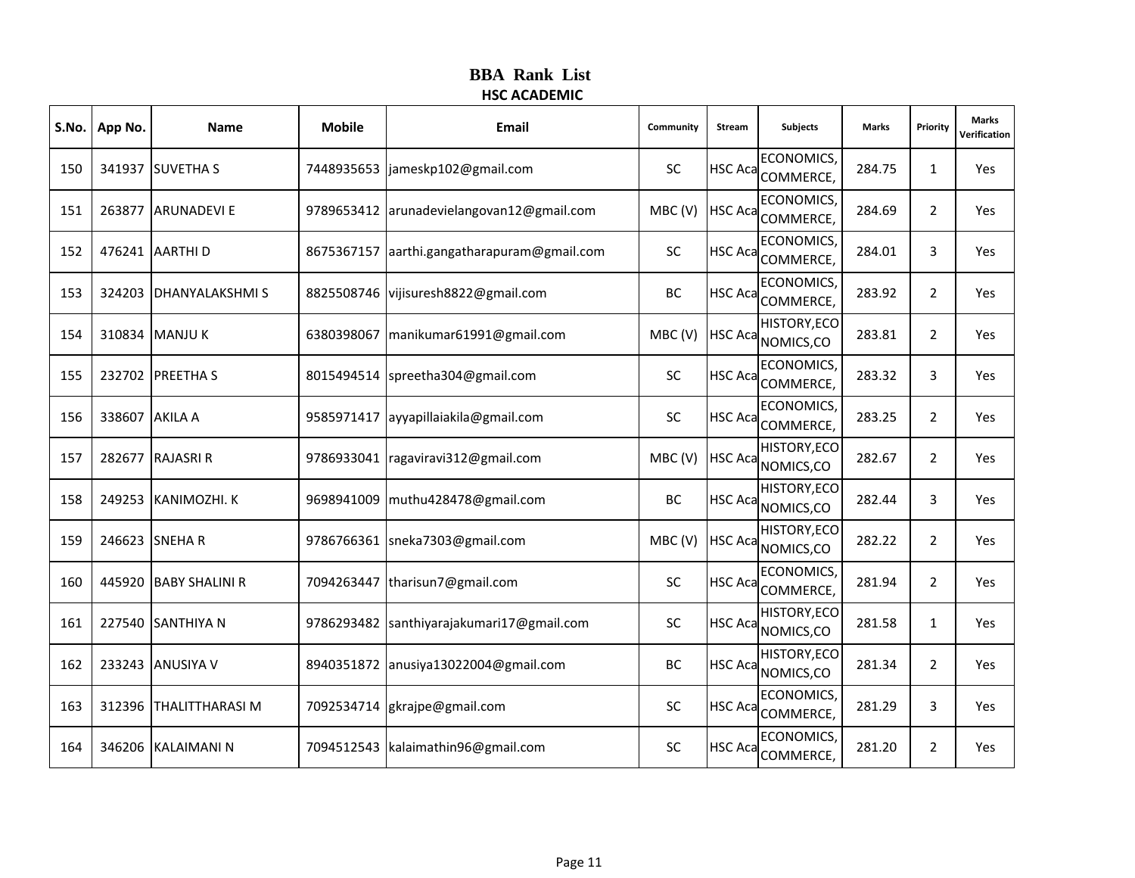|     | S.No.   App No. | Name                   | <b>Mobile</b> | Email                                     | Community | Stream         | <b>Subjects</b>                       | <b>Marks</b> | Priority       | <b>Marks</b><br>Verification |
|-----|-----------------|------------------------|---------------|-------------------------------------------|-----------|----------------|---------------------------------------|--------------|----------------|------------------------------|
| 150 |                 | 341937 SUVETHA S       |               | 7448935653  jameskp102@gmail.com          | <b>SC</b> |                | <b>ECONOMICS</b><br>HSC Aca COMMERCE, | 284.75       | $\mathbf{1}$   | Yes                          |
| 151 |                 | 263877 ARUNADEVI E     |               | 9789653412 arunadevielangovan12@gmail.com | MBC(V)    | <b>HSC Aca</b> | ECONOMICS,<br>COMMERCE,               | 284.69       | 2              | Yes                          |
| 152 |                 | 476241 AARTHI D        | 8675367157    | aarthi.gangatharapuram@gmail.com          | <b>SC</b> | <b>HSC Aca</b> | <b>ECONOMICS</b><br>COMMERCE,         | 284.01       | 3              | Yes                          |
| 153 |                 | 324203 DHANYALAKSHMIS  |               | 8825508746 vijisuresh8822@gmail.com       | BC        | <b>HSC Aca</b> | <b>ECONOMICS</b><br>COMMERCE,         | 283.92       | $\overline{2}$ | Yes                          |
| 154 |                 | 310834 MANJUK          |               | 6380398067   manikumar61991@gmail.com     | MBC(V)    | <b>HSC Aca</b> | HISTORY, ECO<br>NOMICS,CO             | 283.81       | 2              | Yes                          |
| 155 |                 | 232702 PREETHAS        | 8015494514    | spreetha304@gmail.com                     | <b>SC</b> | <b>HSC Aca</b> | ECONOMICS,<br>COMMERCE,               | 283.32       | 3              | Yes                          |
| 156 | 338607 AKILA A  |                        |               | 9585971417 ayyapillaiakila@gmail.com      | <b>SC</b> | <b>HSC Aca</b> | <b>ECONOMICS</b><br>COMMERCE,         | 283.25       | 2              | Yes                          |
| 157 |                 | 282677 RAJASRI R       |               | 9786933041   ragaviravi312@gmail.com      | MBC(V)    | <b>HSC Aca</b> | HISTORY, ECO<br>NOMICS,CO             | 282.67       | 2              | Yes                          |
| 158 |                 | 249253 KANIMOZHI. K    | 9698941009    | muthu428478@gmail.com                     | BC        | <b>HSC Aca</b> | HISTORY, ECO<br>NOMICS,CO             | 282.44       | 3              | Yes                          |
| 159 |                 | 246623 SNEHA R         |               | 9786766361 sneka7303@gmail.com            | MBC(V)    | <b>HSC Aca</b> | HISTORY, ECO<br>NOMICS,CO             | 282.22       | 2              | Yes                          |
| 160 |                 | 445920 BABY SHALINI R  | 7094263447    | tharisun7@gmail.com                       | SC        | <b>HSC Aca</b> | ECONOMICS,<br>COMMERCE,               | 281.94       | $\overline{2}$ | Yes                          |
| 161 |                 | 227540 SANTHIYA N      | 9786293482    | santhiyarajakumari17@gmail.com            | SC        | <b>HSC Aca</b> | HISTORY, ECO<br>NOMICS,CO             | 281.58       | $\mathbf{1}$   | Yes                          |
| 162 |                 | 233243 ANUSIYA V       |               | 8940351872 anusiya13022004@gmail.com      | BC        | <b>HSC Aca</b> | HISTORY, ECO<br>NOMICS,CO             | 281.34       | 2              | Yes                          |
| 163 |                 | 312396 THALITTHARASI M | 7092534714    | gkrajpe@gmail.com                         | <b>SC</b> | <b>HSC Aca</b> | <b>ECONOMICS,</b><br>COMMERCE,        | 281.29       | 3              | Yes                          |
| 164 |                 | 346206 KALAIMANI N     |               | 7094512543   kalaimathin96@gmail.com      | SC        | <b>HSC Aca</b> | <b>ECONOMICS</b><br>COMMERCE,         | 281.20       | $\overline{2}$ | Yes                          |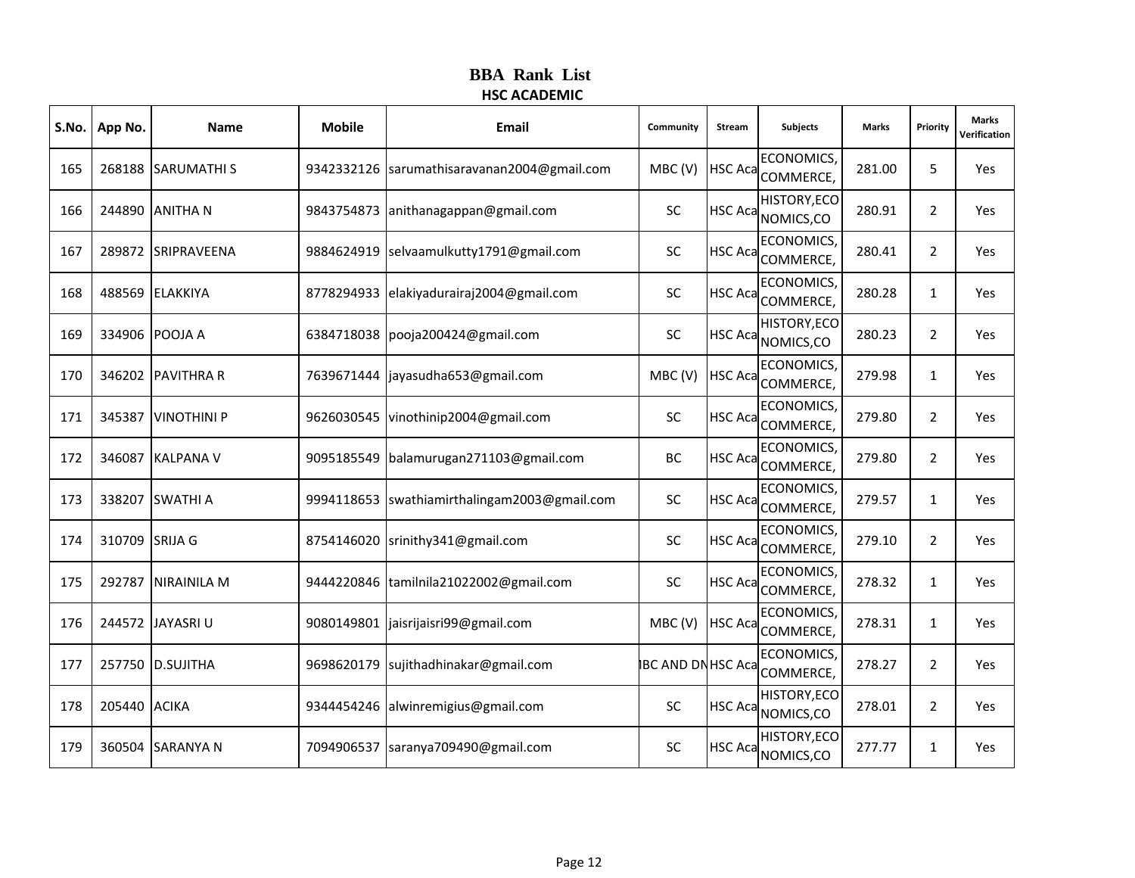| S.No. | App No.        | <b>Name</b>        | <b>Mobile</b> | Email                             | Community                | Stream         | <b>Subjects</b>                                   | <b>Marks</b> | Priority       | <b>Marks</b><br>Verification |
|-------|----------------|--------------------|---------------|-----------------------------------|--------------------------|----------------|---------------------------------------------------|--------------|----------------|------------------------------|
| 165   |                | 268188 SARUMATHIS  | 9342332126    | sarumathisaravanan2004@gmail.com  | MBC(V)                   |                | <b>ECONOMICS</b><br>HSC Aca <sub>COMMERCE</sub> , | 281.00       | 5              | Yes                          |
| 166   |                | 244890 ANITHA N    | 9843754873    | anithanagappan@gmail.com          | <b>SC</b>                | <b>HSC Aca</b> | HISTORY, ECO<br>NOMICS,CO                         | 280.91       | $\overline{2}$ | Yes                          |
| 167   |                | 289872 SRIPRAVEENA | 9884624919    | selvaamulkutty1791@gmail.com      | SC                       | <b>HSC Aca</b> | ECONOMICS,<br>COMMERCE,                           | 280.41       | $\overline{2}$ | Yes                          |
| 168   |                | 488569 ELAKKIYA    | 8778294933    | elakiyadurairaj2004@gmail.com     | SC                       |                | <b>ECONOMICS</b><br>HSC Aca COMMERCE,             | 280.28       | $\mathbf{1}$   | Yes                          |
| 169   |                | 334906 POOJA A     | 6384718038    | pooja200424@gmail.com             | <b>SC</b>                | <b>HSC Aca</b> | HISTORY, ECO<br>NOMICS,CO                         | 280.23       | $\overline{2}$ | Yes                          |
| 170   |                | 346202 PAVITHRA R  | 7639671444    | jayasudha653@gmail.com            | MBC(V)                   | <b>HSC Aca</b> | ECONOMICS,<br>COMMERCE,                           | 279.98       | $\mathbf{1}$   | Yes                          |
| 171   | 345387         | <b>VINOTHINI P</b> | 9626030545    | vinothinip2004@gmail.com          | SC                       | <b>HSC Aca</b> | <b>ECONOMICS</b><br>COMMERCE,                     | 279.80       | $\overline{2}$ | Yes                          |
| 172   |                | 346087 KALPANA V   | 9095185549    | balamurugan271103@gmail.com       | BC                       | <b>HSC Aca</b> | ECONOMICS,<br>COMMERCE,                           | 279.80       | $\overline{2}$ | Yes                          |
| 173   | 338207         | <b>SWATHI A</b>    | 9994118653    | swathiamirthalingam2003@gmail.com | <b>SC</b>                | <b>HSC Aca</b> | <b>ECONOMICS</b><br>COMMERCE,                     | 279.57       | $\mathbf{1}$   | Yes                          |
| 174   | 310709 SRIJA G |                    | 8754146020    | srinithy341@gmail.com             | <b>SC</b>                | <b>HSC Aca</b> | <b>ECONOMICS</b><br>COMMERCE,                     | 279.10       | $\overline{2}$ | Yes                          |
| 175   |                | 292787 NIRAINILA M | 9444220846    | tamilnila21022002@gmail.com       | SC                       | <b>HSC Aca</b> | <b>ECONOMICS,</b><br>COMMERCE,                    | 278.32       | $\mathbf{1}$   | Yes                          |
| 176   |                | 244572 JAYASRI U   | 9080149801    | jaisrijaisri99@gmail.com          | MBC(V)                   | <b>HSC Aca</b> | <b>ECONOMICS</b><br>COMMERCE,                     | 278.31       | $\mathbf{1}$   | Yes                          |
| 177   |                | 257750 D.SUJITHA   | 9698620179    | sujithadhinakar@gmail.com         | <b>BC AND DN HSC Aca</b> |                | <b>ECONOMICS</b><br>COMMERCE,                     | 278.27       | $\overline{2}$ | Yes                          |
| 178   | 205440 ACIKA   |                    | 9344454246    | alwinremigius@gmail.com           | SC                       | <b>HSC Aca</b> | HISTORY, ECO<br>NOMICS,CO                         | 278.01       | $\overline{2}$ | Yes                          |
| 179   | 360504         | <b>SARANYA N</b>   | 7094906537    | saranya709490@gmail.com           | SC                       | <b>HSC Aca</b> | HISTORY, ECO<br>NOMICS,CO                         | 277.77       | $\mathbf{1}$   | Yes                          |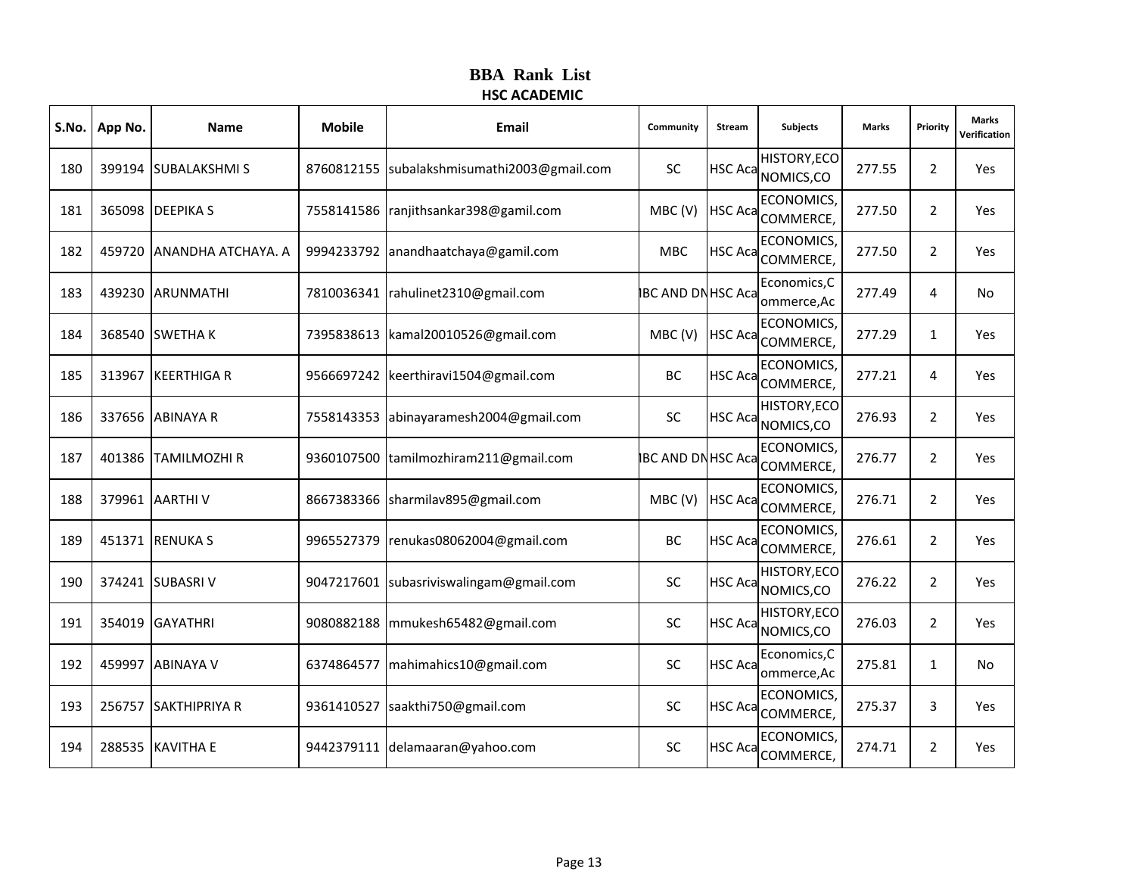| S.No. | App No. | <b>Name</b>               | <b>Mobile</b> | Email                            | Community                | Stream         | <b>Subjects</b>                       | <b>Marks</b> | Priority       | <b>Marks</b><br>Verification |
|-------|---------|---------------------------|---------------|----------------------------------|--------------------------|----------------|---------------------------------------|--------------|----------------|------------------------------|
| 180   |         | 399194 SUBALAKSHMIS       | 8760812155    | subalakshmisumathi2003@gmail.com | <b>SC</b>                |                | HISTORY, ECO<br>HSC Aca NOMICS, CO    | 277.55       | $\overline{2}$ | Yes                          |
| 181   |         | 365098 DEEPIKA S          | 7558141586    | ranjithsankar398@gamil.com       | MBC(V)                   | <b>HSC Aca</b> | ECONOMICS,<br>COMMERCE,               | 277.50       | 2              | Yes                          |
| 182   | 459720  | <b>ANANDHA ATCHAYA. A</b> | 9994233792    | anandhaatchaya@gamil.com         | <b>MBC</b>               | <b>HSC Aca</b> | ECONOMICS,<br>COMMERCE,               | 277.50       | $\overline{2}$ | Yes                          |
| 183   |         | 439230 ARUNMATHI          | 7810036341    | rahulinet2310@gmail.com          | <b>IBC AND DNHSC Aca</b> |                | Economics, C<br>ommerce, Ac           | 277.49       | 4              | No                           |
| 184   |         | 368540 SWETHA K           | 7395838613    | kamal20010526@gmail.com          | MBC(V)                   | <b>HSC Aca</b> | ECONOMICS,<br>COMMERCE,               | 277.29       | $\mathbf{1}$   | Yes                          |
| 185   | 313967  | <b>KEERTHIGA R</b>        | 9566697242    | keerthiravi1504@gmail.com        | BC                       | <b>HSC Aca</b> | ECONOMICS,<br>COMMERCE,               | 277.21       | 4              | Yes                          |
| 186   |         | 337656 ABINAYA R          | 7558143353    | abinayaramesh2004@gmail.com      | SC                       | <b>HSC Aca</b> | HISTORY, ECO<br>NOMICS,CO             | 276.93       | $\overline{2}$ | Yes                          |
| 187   |         | 401386 TAMILMOZHI R       | 9360107500    | tamilmozhiram211@gmail.com       | <b>BC AND DNHSC Aca</b>  |                | ECONOMICS,<br>COMMERCE,               | 276.77       | $\overline{2}$ | Yes                          |
| 188   |         | 379961 AARTHIV            | 8667383366    | sharmilav895@gmail.com           | MBC(V)                   | <b>HSC Aca</b> | ECONOMICS,<br>COMMERCE,               | 276.71       | $\overline{2}$ | Yes                          |
| 189   |         | 451371 RENUKA S           | 9965527379    | renukas08062004@gmail.com        | <b>BC</b>                |                | <b>ECONOMICS</b><br>HSC Aca COMMERCE, | 276.61       | $\overline{2}$ | Yes                          |
| 190   |         | 374241 SUBASRI V          | 9047217601    | subasriviswalingam@gmail.com     | <b>SC</b>                | <b>HSC Aca</b> | HISTORY, ECO<br>NOMICS,CO             | 276.22       | $\overline{2}$ | Yes                          |
| 191   | 354019  | <b>GAYATHRI</b>           | 9080882188    | mmukesh65482@gmail.com           | <b>SC</b>                | <b>HSC Aca</b> | HISTORY, ECO<br>NOMICS, CO            | 276.03       | $\overline{2}$ | Yes                          |
| 192   | 459997  | <b>ABINAYA V</b>          | 6374864577    | mahimahics10@gmail.com           | <b>SC</b>                | <b>HSC Aca</b> | Economics, C<br>ommerce, Ac           | 275.81       | $\mathbf{1}$   | <b>No</b>                    |
| 193   |         | 256757 SAKTHIPRIYA R      | 9361410527    | saakthi750@gmail.com             | <b>SC</b>                | <b>HSC Aca</b> | ECONOMICS,<br>COMMERCE,               | 275.37       | 3              | Yes                          |
| 194   |         | 288535 KAVITHA E          | 9442379111    | delamaaran@yahoo.com             | <b>SC</b>                | <b>HSC Aca</b> | ECONOMICS,<br>COMMERCE,               | 274.71       | $\overline{2}$ | Yes                          |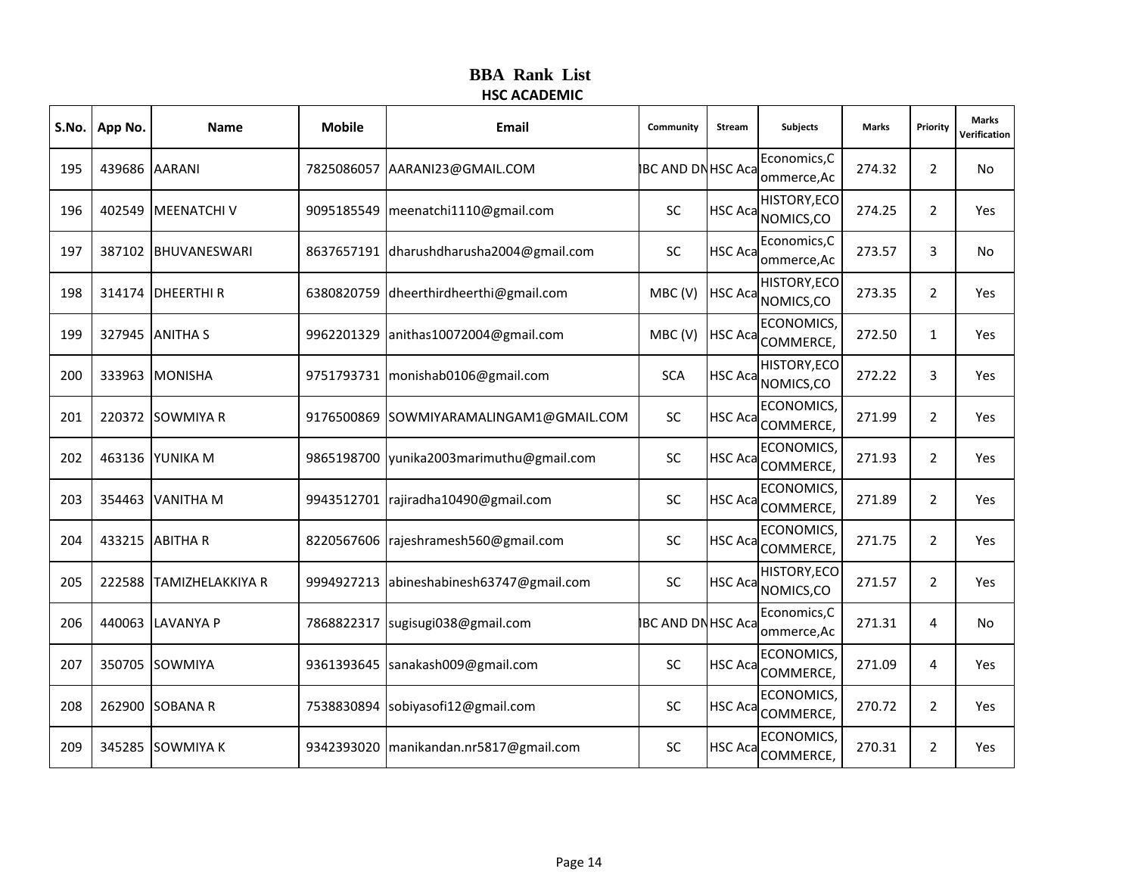|     | S.No.   App No. | <b>Name</b>             | <b>Mobile</b> | Email                                    | Community                | Stream         | <b>Subjects</b>                    | <b>Marks</b> | Priority       | <b>Marks</b><br>Verification |
|-----|-----------------|-------------------------|---------------|------------------------------------------|--------------------------|----------------|------------------------------------|--------------|----------------|------------------------------|
| 195 | 439686 AARANI   |                         |               | 7825086057 AARANI23@GMAIL.COM            | <b>BC AND DN HSC Aca</b> |                | Economics, C<br>ommerce, Ac        | 274.32       | 2              | No                           |
| 196 |                 | 402549   MEENATCHI V    |               | 9095185549   meenatchi1110@gmail.com     | <b>SC</b>                | <b>HSC Aca</b> | HISTORY, ECO<br>NOMICS, CO         | 274.25       | $\overline{2}$ | Yes                          |
| 197 |                 | 387102 BHUVANESWARI     |               | 8637657191 dharushdharusha2004@gmail.com | <b>SC</b>                | <b>HSC Aca</b> | Economics, C<br>ommerce, Ac        | 273.57       | 3              | No                           |
| 198 |                 | 314174 DHEERTHIR        |               | 6380820759 dheerthirdheerthi@gmail.com   | MBC(V)                   |                | HISTORY, ECO<br>HSC Aca NOMICS, CO | 273.35       | 2              | Yes                          |
| 199 |                 | 327945 ANITHA S         | 9962201329    | anithas10072004@gmail.com                | MBC(V)                   | <b>HSC Aca</b> | <b>ECONOMICS,</b><br>COMMERCE,     | 272.50       | $\mathbf{1}$   | Yes                          |
| 200 |                 | 333963 MONISHA          | 9751793731    | monishab0106@gmail.com                   | <b>SCA</b>               | <b>HSC Aca</b> | <b>HISTORY, ECO</b><br>NOMICS,CO   | 272.22       | 3              | Yes                          |
| 201 |                 | 220372 SOWMIYA R        | 9176500869    | SOWMIYARAMALINGAM1@GMAIL.COM             | SC                       | <b>HSC Aca</b> | <b>ECONOMICS</b><br>COMMERCE,      | 271.99       | $\overline{2}$ | Yes                          |
| 202 |                 | 463136 YUNIKA M         |               | 9865198700 yunika2003marimuthu@gmail.com | <b>SC</b>                | <b>HSC Aca</b> | ECONOMICS,<br>COMMERCE,            | 271.93       | 2              | Yes                          |
| 203 | 354463          | <b>VANITHA M</b>        |               | 9943512701 rajiradha10490@gmail.com      | <b>SC</b>                | <b>HSC Aca</b> | <b>ECONOMICS</b><br>COMMERCE,      | 271.89       | 2              | Yes                          |
| 204 |                 | 433215 ABITHA R         |               | 8220567606 rajeshramesh560@gmail.com     | <b>SC</b>                | <b>HSC Aca</b> | <b>ECONOMICS</b><br>COMMERCE,      | 271.75       | $\overline{2}$ | Yes                          |
| 205 |                 | 222588 TAMIZHELAKKIYA R | 9994927213    | abineshabinesh63747@gmail.com            | <b>SC</b>                | <b>HSC Aca</b> | HISTORY, ECO<br>NOMICS,CO          | 271.57       | $\overline{2}$ | Yes                          |
| 206 | 440063          | LAVANYA P               | 7868822317    | sugisugi038@gmail.com                    | <b>IBC AND DNHSC Aca</b> |                | Economics, C<br>ommerce, Ac        | 271.31       | 4              | No                           |
| 207 |                 | 350705 SOWMIYA          |               | 9361393645 sanakash009@gmail.com         | <b>SC</b>                | <b>HSC Aca</b> | <b>ECONOMICS</b><br>COMMERCE,      | 271.09       | 4              | Yes                          |
| 208 |                 | 262900 SOBANA R         | 7538830894    | sobiyasofi12@gmail.com                   | <b>SC</b>                | <b>HSC Aca</b> | ECONOMICS,<br>COMMERCE,            | 270.72       | 2              | Yes                          |
| 209 |                 | 345285 SOWMIYA K        | 9342393020    | manikandan.nr5817@gmail.com              | <b>SC</b>                | <b>HSC Aca</b> | <b>ECONOMICS</b><br>COMMERCE,      | 270.31       | $\overline{2}$ | Yes                          |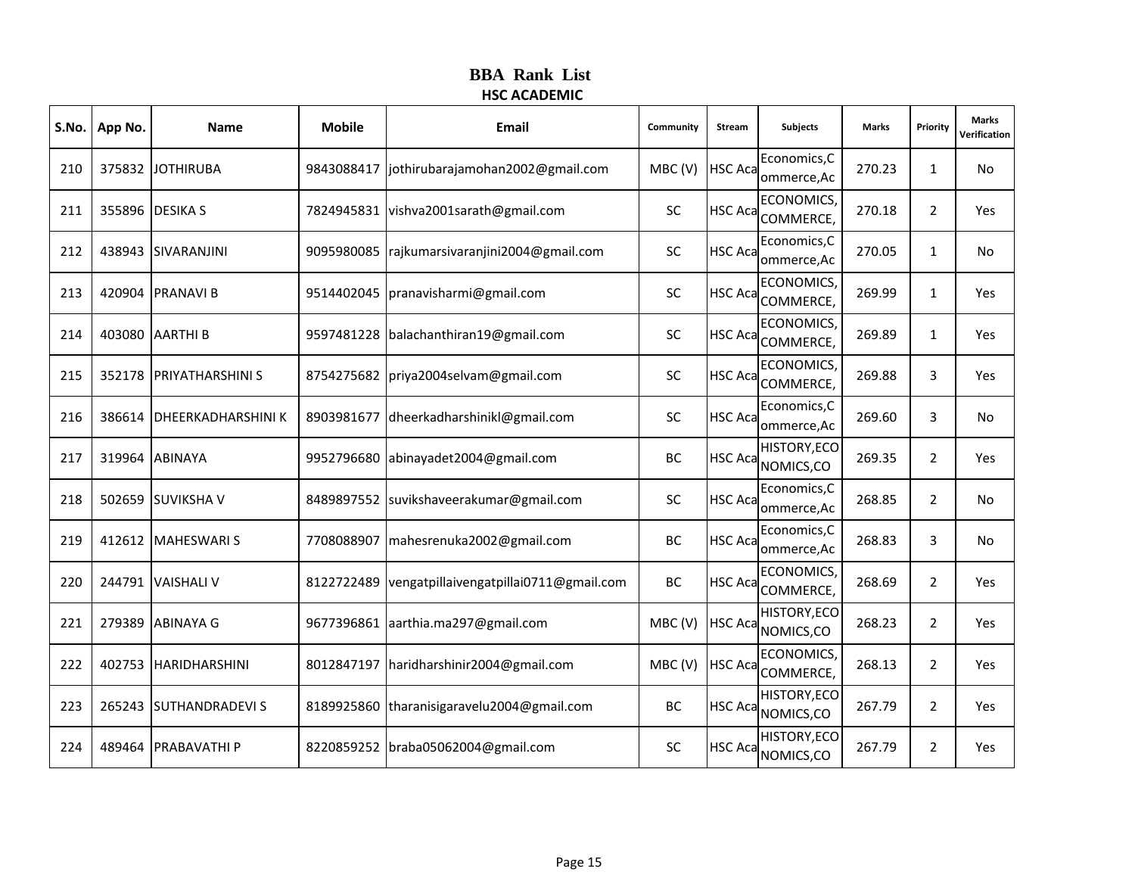|     | S.No.   App No. | <b>Name</b>               | <b>Mobile</b> | Email                                   | Community | Stream         | <b>Subjects</b>                       | <b>Marks</b> | Priority       | <b>Marks</b><br>Verification |
|-----|-----------------|---------------------------|---------------|-----------------------------------------|-----------|----------------|---------------------------------------|--------------|----------------|------------------------------|
| 210 |                 | 375832 JOTHIRUBA          | 9843088417    | jothirubarajamohan2002@gmail.com        | MBC(V)    | <b>HSC Aca</b> | Economics, C<br>ommerce, Ac           | 270.23       | $\mathbf{1}$   | No                           |
| 211 |                 | 355896 DESIKA S           |               | 7824945831 vishva2001sarath@gmail.com   | <b>SC</b> | <b>HSC Aca</b> | ECONOMICS,<br>COMMERCE,               | 270.18       | $\overline{2}$ | Yes                          |
| 212 |                 | 438943 SIVARANJINI        | 9095980085    | rajkumarsivaranjini2004@gmail.com       | <b>SC</b> | <b>HSC Aca</b> | Economics, C<br>ommerce, Ac           | 270.05       | $\mathbf{1}$   | No                           |
| 213 |                 | 420904 PRANAVI B          |               | 9514402045   pranavisharmi@gmail.com    | <b>SC</b> |                | <b>ECONOMICS</b><br>HSC Aca COMMERCE, | 269.99       | $\mathbf{1}$   | Yes                          |
| 214 |                 | 403080 AARTHI B           |               | 9597481228   balachanthiran19@gmail.com | <b>SC</b> | HSC Aca        | ECONOMICS,<br>COMMERCE,               | 269.89       | $\mathbf{1}$   | Yes                          |
| 215 |                 | 352178 PRIYATHARSHINI S   |               | 8754275682   priya2004selvam@gmail.com  | SC        | HSC Aca        | ECONOMICS,<br>COMMERCE,               | 269.88       | 3              | Yes                          |
| 216 |                 | 386614 DHEERKADHARSHINI K | 8903981677    | dheerkadharshinikl@gmail.com            | SC        | <b>HSC Aca</b> | Economics, C<br>ommerce, Ac           | 269.60       | 3              | No                           |
| 217 |                 | 319964 ABINAYA            | 9952796680    | abinayadet2004@gmail.com                | BC        | <b>HSC Aca</b> | HISTORY, ECO<br>NOMICS,CO             | 269.35       | 2              | Yes                          |
| 218 |                 | 502659 SUVIKSHA V         |               | 8489897552 suvikshaveerakumar@gmail.com | SC        | <b>HSC Aca</b> | Economics, C<br>ommerce, Ac           | 268.85       | 2              | No                           |
| 219 |                 | 412612 MAHESWARIS         | 7708088907    | mahesrenuka2002@gmail.com               | BC        | <b>HSC Aca</b> | Economics, C<br>ommerce, Ac           | 268.83       | 3              | No                           |
| 220 |                 | 244791 VAISHALI V         | 8122722489    | vengatpillaivengatpillai0711@gmail.com  | <b>BC</b> | <b>HSC Aca</b> | <b>ECONOMICS,</b><br>COMMERCE,        | 268.69       | $\overline{2}$ | Yes                          |
| 221 |                 | 279389 ABINAYA G          |               | 9677396861 aarthia.ma297@gmail.com      | MBC(V)    | <b>HSC Aca</b> | HISTORY, ECO<br>NOMICS, CO            | 268.23       | 2              | Yes                          |
| 222 |                 | 402753 HARIDHARSHINI      |               | 8012847197 haridharshinir2004@gmail.com | MBC(V)    | <b>HSC Aca</b> | <b>ECONOMICS</b><br>COMMERCE,         | 268.13       | 2              | Yes                          |
| 223 |                 | 265243 SUTHANDRADEVI S    | 8189925860    | tharanisigaravelu2004@gmail.com         | <b>BC</b> | <b>HSC Aca</b> | HISTORY, ECO<br>NOMICS,CO             | 267.79       | 2              | Yes                          |
| 224 |                 | 489464 PRABAVATHI P       |               | 8220859252 braba05062004@gmail.com      | SC        | <b>HSC Aca</b> | HISTORY, ECO<br>NOMICS,CO             | 267.79       | $\overline{2}$ | Yes                          |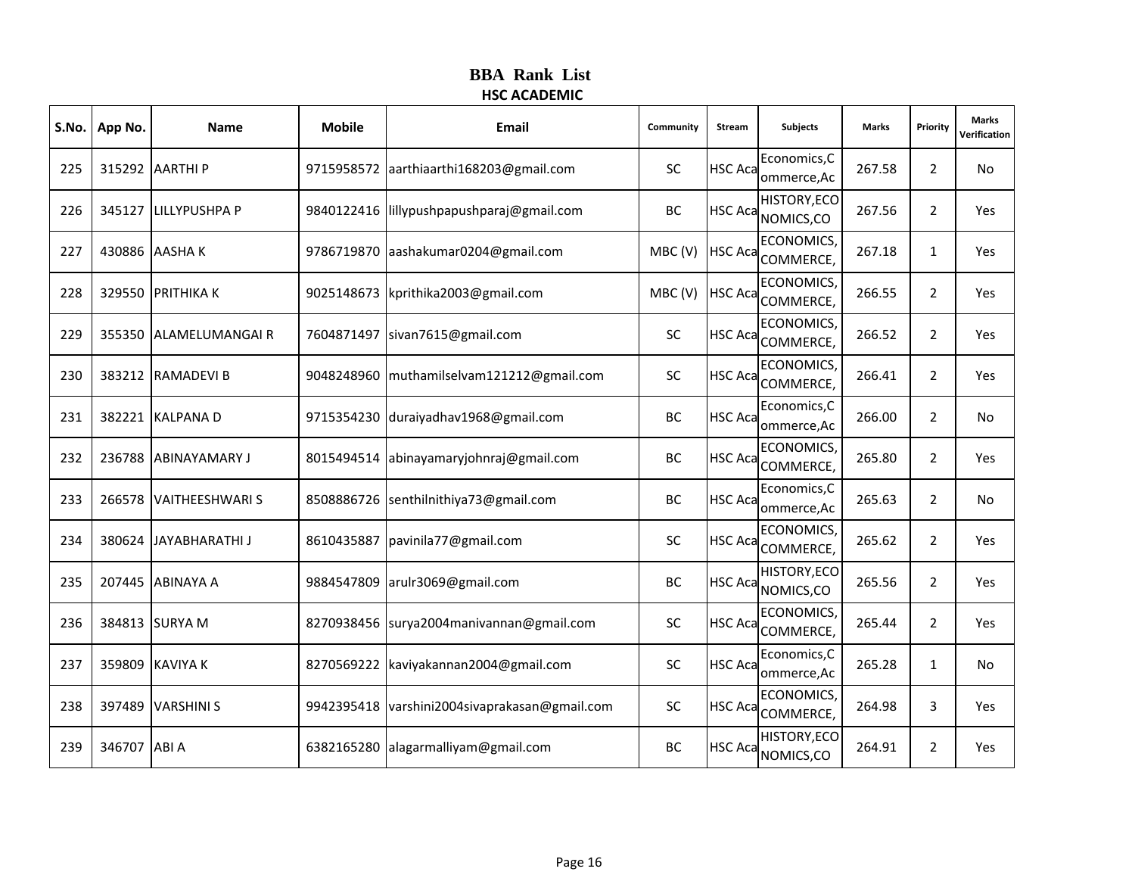|     | S.No.   App No. | <b>Name</b>            | <b>Mobile</b> | <b>Email</b>                       | Community | Stream         | <b>Subjects</b>                       | <b>Marks</b> | Priority       | <b>Marks</b><br>Verification |
|-----|-----------------|------------------------|---------------|------------------------------------|-----------|----------------|---------------------------------------|--------------|----------------|------------------------------|
| 225 |                 | 315292 AARTHI P        | 9715958572    | aarthiaarthi168203@gmail.com       | <b>SC</b> | <b>HSC Aca</b> | Economics, C<br>ommerce, Ac           | 267.58       | $\overline{2}$ | <b>No</b>                    |
| 226 |                 | 345127 LILLYPUSHPA P   | 9840122416    | lillypushpapushparaj@gmail.com     | BC        | <b>HSC Aca</b> | HISTORY, ECO<br>NOMICS,CO             | 267.56       | $\overline{2}$ | Yes                          |
| 227 |                 | 430886 AASHAK          | 9786719870    | aashakumar0204@gmail.com           | MBC(V)    | <b>HSC Aca</b> | ECONOMICS,<br>COMMERCE,               | 267.18       | $\mathbf{1}$   | Yes                          |
| 228 |                 | 329550 PRITHIKA K      | 9025148673    | kprithika2003@gmail.com            | MBC(V)    |                | <b>ECONOMICS</b><br>HSC Aca COMMERCE, | 266.55       | $\overline{2}$ | Yes                          |
| 229 |                 | 355350 ALAMELUMANGAIR  | 7604871497    | sivan7615@gmail.com                | <b>SC</b> | <b>HSC Aca</b> | ECONOMICS,<br>COMMERCE,               | 266.52       | $\overline{2}$ | Yes                          |
| 230 |                 | 383212 RAMADEVI B      | 9048248960    | muthamilselvam121212@gmail.com     | SC        | <b>HSC Aca</b> | ECONOMICS,<br>COMMERCE,               | 266.41       | $\overline{2}$ | Yes                          |
| 231 |                 | 382221 KALPANA D       | 9715354230    | duraiyadhav1968@gmail.com          | BC        | <b>HSC Aca</b> | Economics, C<br>ommerce, Ac           | 266.00       | $\overline{2}$ | <b>No</b>                    |
| 232 |                 | 236788 ABINAYAMARY J   | 8015494514    | abinayamaryjohnraj@gmail.com       | BC        | <b>HSC Aca</b> | ECONOMICS,<br>COMMERCE,               | 265.80       | $\overline{2}$ | Yes                          |
| 233 | 266578          | <b>VAITHEESHWARI S</b> | 8508886726    | senthilnithiya73@gmail.com         | BC        | HSC Aca        | Economics, C<br>ommerce, Ac           | 265.63       | $\overline{2}$ | <b>No</b>                    |
| 234 |                 | 380624 JAYABHARATHI J  | 8610435887    | pavinila77@gmail.com               | <b>SC</b> |                | <b>ECONOMICS</b><br>HSC Aca COMMERCE, | 265.62       | $\overline{2}$ | Yes                          |
| 235 |                 | 207445 ABINAYA A       | 9884547809    | arulr3069@gmail.com                | BC        | <b>HSC Aca</b> | HISTORY, ECO<br>NOMICS,CO             | 265.56       | $\overline{2}$ | Yes                          |
| 236 |                 | 384813 SURYA M         | 8270938456    | surya2004manivannan@gmail.com      | SC        | <b>HSC Aca</b> | ECONOMICS,<br>COMMERCE,               | 265.44       | 2              | Yes                          |
| 237 |                 | 359809 KAVIYA K        | 8270569222    | kaviyakannan2004@gmail.com         | <b>SC</b> | <b>HSC Aca</b> | Economics, C<br>ommerce, Ac           | 265.28       | $\mathbf{1}$   | <b>No</b>                    |
| 238 |                 | 397489 VARSHINI S      | 9942395418    | varshini2004sivaprakasan@gmail.com | <b>SC</b> | <b>HSC Aca</b> | ECONOMICS,<br>COMMERCE,               | 264.98       | 3              | Yes                          |
| 239 | 346707          | ABI A                  | 6382165280    | alagarmalliyam@gmail.com           | BC        | <b>HSC Aca</b> | HISTORY, ECO<br>NOMICS,CO             | 264.91       | $\overline{2}$ | Yes                          |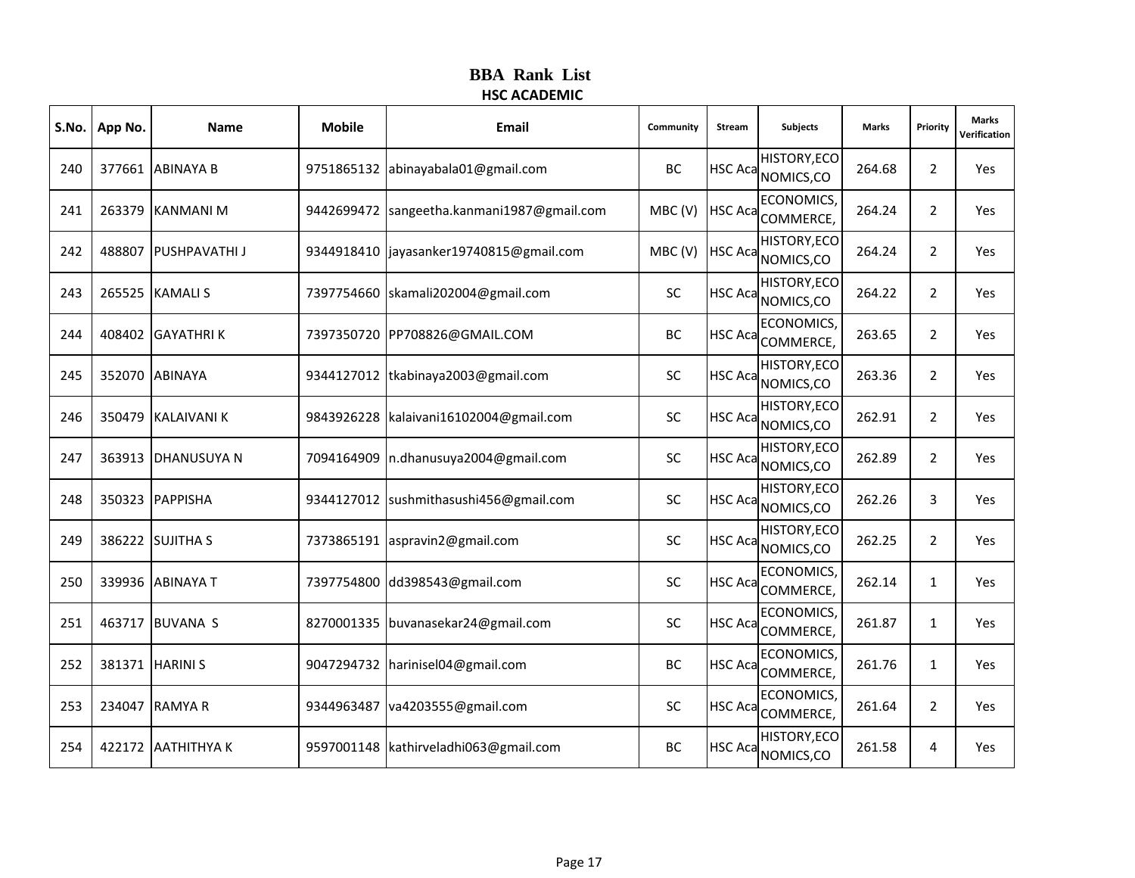| S.No. | App No. | <b>Name</b>          | <b>Mobile</b> | Email                            | Community | Stream         | <b>Subjects</b>                           | <b>Marks</b> | Priority       | <b>Marks</b><br>Verification |
|-------|---------|----------------------|---------------|----------------------------------|-----------|----------------|-------------------------------------------|--------------|----------------|------------------------------|
| 240   |         | 377661 ABINAYA B     | 9751865132    | abinayabala01@gmail.com          | <b>BC</b> |                | <b>HISTORY, ECO</b><br>HSC Aca NOMICS, CO | 264.68       | $\overline{2}$ | Yes                          |
| 241   |         | 263379 KANMANI M     | 9442699472    | sangeetha.kanmani1987@gmail.com  | MBC(V)    | <b>HSC Aca</b> | ECONOMICS,<br>COMMERCE,                   | 264.24       | 2              | Yes                          |
| 242   |         | 488807 PUSHPAVATHI J | 9344918410    | jayasanker19740815@gmail.com     | MBC(V)    | <b>HSC Aca</b> | <b>HISTORY, ECO</b><br>NOMICS,CO          | 264.24       | $\overline{2}$ | Yes                          |
| 243   |         | 265525 KAMALI S      | 7397754660    | skamali202004@gmail.com          | <b>SC</b> |                | <b>HISTORY, ECO</b><br>HSC Aca NOMICS, CO | 264.22       | 2              | Yes                          |
| 244   |         | 408402 GAYATHRIK     |               | 7397350720 PP708826@GMAIL.COM    | <b>BC</b> | <b>HSC Aca</b> | ECONOMICS,<br>COMMERCE,                   | 263.65       | $\overline{2}$ | Yes                          |
| 245   | 352070  | <b>ABINAYA</b>       | 9344127012    | tkabinaya2003@gmail.com          | SC        |                | <b>HISTORY, ECO</b><br>HSC Aca NOMICS, CO | 263.36       | $\overline{2}$ | Yes                          |
| 246   |         | 350479 KALAIVANI K   | 9843926228    | kalaivani16102004@gmail.com      | <b>SC</b> |                | <b>HISTORY, ECO</b><br>HSC Aca NOMICS, CO | 262.91       | $\overline{2}$ | Yes                          |
| 247   |         | 363913 DHANUSUYA N   | 7094164909    | n.dhanusuya2004@gmail.com        | <b>SC</b> | <b>HSC Aca</b> | <b>HISTORY, ECO</b><br>NOMICS,CO          | 262.89       | $\overline{2}$ | Yes                          |
| 248   |         | 350323 PAPPISHA      | 9344127012    | sushmithasushi456@gmail.com      | SC        |                | <b>HISTORY, ECO</b><br>HSC Aca NOMICS, CO | 262.26       | 3              | Yes                          |
| 249   |         | 386222 SUJITHA S     |               | 7373865191 aspravin2@gmail.com   | <b>SC</b> |                | <b>HISTORY, ECO</b><br>HSC Aca NOMICS, CO | 262.25       | $\overline{2}$ | Yes                          |
| 250   |         | 339936 ABINAYA T     | 7397754800    | dd398543@gmail.com               | <b>SC</b> | <b>HSC Aca</b> | ECONOMICS,<br>COMMERCE,                   | 262.14       | $\mathbf{1}$   | Yes                          |
| 251   | 463717  | <b>BUVANA S</b>      | 8270001335    | buvanasekar24@gmail.com          | <b>SC</b> | <b>HSC Aca</b> | ECONOMICS,<br>COMMERCE,                   | 261.87       | $\mathbf{1}$   | Yes                          |
| 252   |         | 381371 HARINI S      |               | 9047294732 harinisel04@gmail.com | BC        | <b>HSC Aca</b> | <b>ECONOMICS</b><br>COMMERCE,             | 261.76       | $\mathbf{1}$   | Yes                          |
| 253   |         | 234047 RAMYA R       | 9344963487    | va4203555@gmail.com              | <b>SC</b> | <b>HSC Aca</b> | ECONOMICS,<br>COMMERCE,                   | 261.64       | $\overline{2}$ | Yes                          |
| 254   |         | 422172 AATHITHYAK    | 9597001148    | kathirveladhi063@gmail.com       | BC        |                | <b>HISTORY, ECO</b><br>HSC Aca NOMICS, CO | 261.58       | 4              | Yes                          |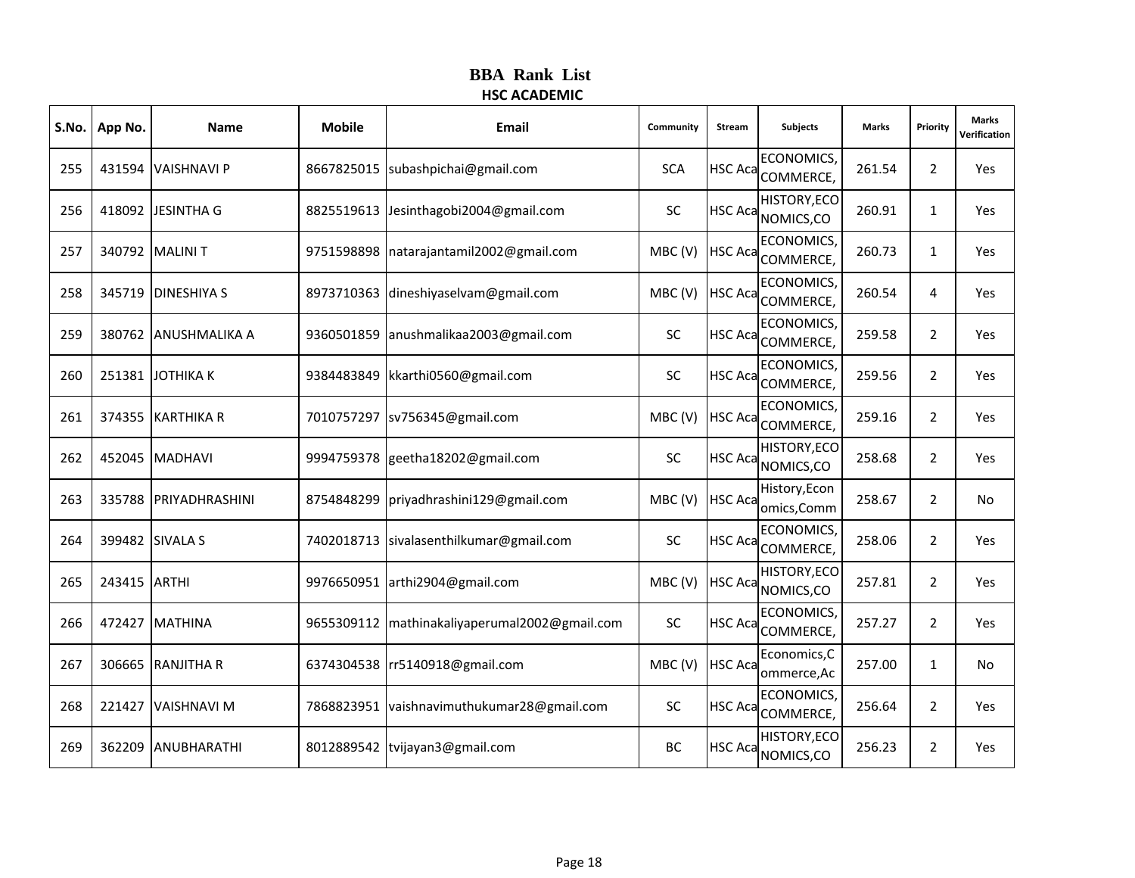| S.No. | App No.      | <b>Name</b>          | <b>Mobile</b> | Email                              | Community  | Stream         | <b>Subjects</b>                                  | <b>Marks</b> | Priority       | <b>Marks</b><br>Verification |
|-------|--------------|----------------------|---------------|------------------------------------|------------|----------------|--------------------------------------------------|--------------|----------------|------------------------------|
| 255   |              | 431594 VAISHNAVI P   | 8667825015    | subashpichai@gmail.com             | <b>SCA</b> |                | <b>ECONOMICS</b><br>HSC Aca <sub>COMMERCE,</sub> | 261.54       | $\overline{2}$ | Yes                          |
| 256   |              | 418092 JESINTHA G    | 8825519613    | Jesinthagobi2004@gmail.com         | <b>SC</b>  | <b>HSC Aca</b> | HISTORY, ECO<br>NOMICS,CO                        | 260.91       | $\mathbf{1}$   | Yes                          |
| 257   |              | 340792 MALINIT       | 9751598898    | natarajantamil2002@gmail.com       | MBC(V)     | <b>HSC Aca</b> | ECONOMICS,<br>COMMERCE,                          | 260.73       | $\mathbf{1}$   | Yes                          |
| 258   |              | 345719 DINESHIYA S   | 8973710363    | dineshiyaselvam@gmail.com          | MBC(V)     | <b>HSC Aca</b> | <b>ECONOMICS</b><br>COMMERCE,                    | 260.54       | 4              | Yes                          |
| 259   |              | 380762 ANUSHMALIKA A | 9360501859    | anushmalikaa2003@gmail.com         | <b>SC</b>  | <b>HSC Aca</b> | <b>ECONOMICS</b><br>COMMERCE,                    | 259.58       | $\overline{2}$ | Yes                          |
| 260   |              | 251381 JOTHIKA K     | 9384483849    | kkarthi0560@gmail.com              | <b>SC</b>  | <b>HSC Aca</b> | ECONOMICS,<br>COMMERCE,                          | 259.56       | $\overline{2}$ | Yes                          |
| 261   |              | 374355 KARTHIKA R    | 7010757297    | sv756345@gmail.com                 | MBC(V)     | <b>HSC Aca</b> | <b>ECONOMICS</b><br>COMMERCE,                    | 259.16       | $\overline{2}$ | Yes                          |
| 262   |              | 452045 MADHAVI       | 9994759378    | geetha18202@gmail.com              | <b>SC</b>  | <b>HSC Aca</b> | HISTORY, ECO<br>NOMICS,CO                        | 258.68       | $\overline{2}$ | Yes                          |
| 263   | 335788       | PRIYADHRASHINI       | 8754848299    | priyadhrashini129@gmail.com        | MBC(V)     | <b>HSC Aca</b> | History, Econ<br>omics, Comm                     | 258.67       | $\overline{2}$ | No                           |
| 264   |              | 399482 SIVALA S      | 7402018713    | sivalasenthilkumar@gmail.com       | SC         | <b>HSC Aca</b> | <b>ECONOMICS</b><br>COMMERCE,                    | 258.06       | $\overline{2}$ | Yes                          |
| 265   | 243415 ARTHI |                      | 9976650951    | arthi2904@gmail.com                | MBC(V)     | <b>HSC Aca</b> | HISTORY, ECO<br>NOMICS,CO                        | 257.81       | $\overline{2}$ | Yes                          |
| 266   | 472427       | <b>MATHINA</b>       | 9655309112    | mathinakaliyaperumal2002@gmail.com | <b>SC</b>  | <b>HSC Aca</b> | ECONOMICS,<br>COMMERCE,                          | 257.27       | $\overline{2}$ | Yes                          |
| 267   |              | 306665 RANJITHA R    | 6374304538    | rr5140918@gmail.com                | MBC(V)     | <b>HSC Aca</b> | Economics, C<br>ommerce, Ac                      | 257.00       | $\mathbf{1}$   | No                           |
| 268   | 221427       | <b>VAISHNAVI M</b>   | 7868823951    | vaishnavimuthukumar28@gmail.com    | <b>SC</b>  | <b>HSC Aca</b> | ECONOMICS,<br>COMMERCE,                          | 256.64       | $\overline{2}$ | Yes                          |
| 269   | 362209       | ANUBHARATHI          | 8012889542    | tvijayan3@gmail.com                | BC         | <b>HSC Aca</b> | HISTORY, ECO<br>NOMICS,CO                        | 256.23       | $\overline{2}$ | Yes                          |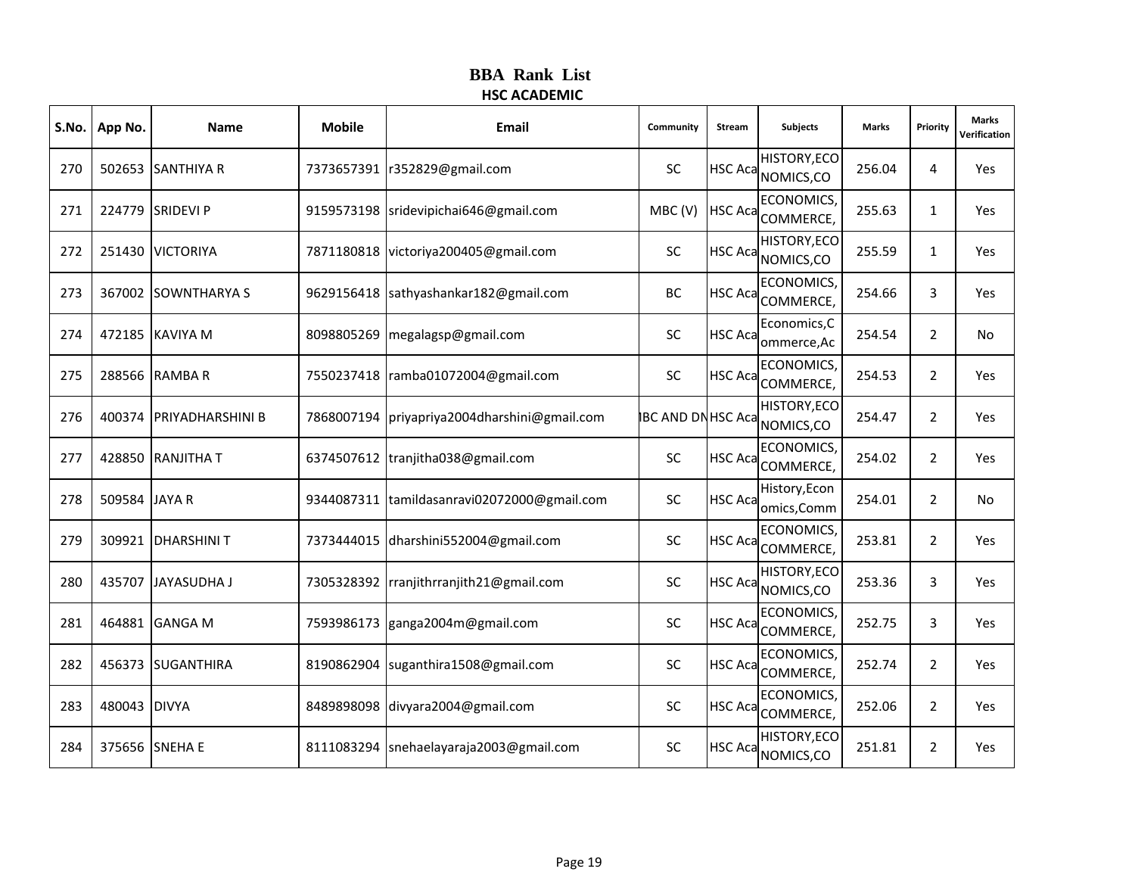| S.No. | App No.       | <b>Name</b>             | <b>Mobile</b> | Email                             | Community                | Stream         | <b>Subjects</b>                                  | <b>Marks</b> | Priority       | <b>Marks</b><br>Verification |
|-------|---------------|-------------------------|---------------|-----------------------------------|--------------------------|----------------|--------------------------------------------------|--------------|----------------|------------------------------|
| 270   |               | 502653 SANTHIYA R       | 7373657391    | r352829@gmail.com                 | <b>SC</b>                |                | HISTORY, ECO<br>HSC Aca NOMICS, CO               | 256.04       | 4              | Yes                          |
| 271   |               | 224779 SRIDEVI P        | 9159573198    | sridevipichai646@gmail.com        | MBC(V)                   | <b>HSC Aca</b> | ECONOMICS,<br>COMMERCE,                          | 255.63       | $\mathbf{1}$   | Yes                          |
| 272   |               | 251430 VICTORIYA        | 7871180818    | victoriya200405@gmail.com         | SC                       | <b>HSC Aca</b> | HISTORY, ECO<br>NOMICS,CO                        | 255.59       | $\mathbf{1}$   | Yes                          |
| 273   |               | 367002 SOWNTHARYA S     | 9629156418    | sathyashankar182@gmail.com        | BC                       |                | <b>ECONOMICS</b><br>HSC Aca <sub>COMMERCE,</sub> | 254.66       | 3              | Yes                          |
| 274   |               | 472185 KAVIYA M         | 8098805269    | megalagsp@gmail.com               | <b>SC</b>                | <b>HSC Aca</b> | Economics, C<br>ommerce, Ac                      | 254.54       | $\overline{2}$ | No                           |
| 275   |               | 288566 RAMBA R          | 7550237418    | ramba01072004@gmail.com           | <b>SC</b>                | <b>HSC Aca</b> | ECONOMICS,<br>COMMERCE,                          | 254.53       | $\overline{2}$ | Yes                          |
| 276   |               | 400374 PRIYADHARSHINI B | 7868007194    | priyapriya2004dharshini@gmail.com | <b>BC AND DN HSC Aca</b> |                | HISTORY, ECO<br>NOMICS,CO                        | 254.47       | $\overline{2}$ | Yes                          |
| 277   |               | 428850 RANJITHA T       | 6374507612    | tranjitha038@gmail.com            | <b>SC</b>                | <b>HSC Aca</b> | ECONOMICS,<br>COMMERCE,                          | 254.02       | $\overline{2}$ | Yes                          |
| 278   | 509584 JAYA R |                         | 9344087311    | tamildasanravi02072000@gmail.com  | <b>SC</b>                | <b>HSC Aca</b> | History, Econ<br>omics, Comm                     | 254.01       | $\overline{2}$ | No                           |
| 279   |               | 309921   DHARSHINI T    | 7373444015    | dharshini552004@gmail.com         | <b>SC</b>                | <b>HSC Aca</b> | <b>ECONOMICS</b><br>COMMERCE,                    | 253.81       | $\overline{2}$ | Yes                          |
| 280   |               | 435707 JAYASUDHA J      | 7305328392    | rranjithrranjith21@gmail.com      | SC                       | <b>HSC Aca</b> | HISTORY, ECO<br>NOMICS,CO                        | 253.36       | 3              | Yes                          |
| 281   | 464881        | <b>GANGA M</b>          | 7593986173    | ganga2004m@gmail.com              | <b>SC</b>                | <b>HSC Aca</b> | <b>ECONOMICS</b><br>COMMERCE,                    | 252.75       | 3              | Yes                          |
| 282   |               | 456373 SUGANTHIRA       | 8190862904    | suganthira1508@gmail.com          | <b>SC</b>                | <b>HSC Aca</b> | <b>ECONOMICS</b><br>COMMERCE,                    | 252.74       | $\overline{2}$ | Yes                          |
| 283   | 480043 DIVYA  |                         | 8489898098    | divyara2004@gmail.com             | SC                       | <b>HSC Aca</b> | ECONOMICS,<br>COMMERCE,                          | 252.06       | $\overline{2}$ | Yes                          |
| 284   |               | 375656 SNEHA E          | 8111083294    | snehaelayaraja2003@gmail.com      | SC                       | <b>HSC Aca</b> | HISTORY, ECO<br>NOMICS,CO                        | 251.81       | $\overline{2}$ | Yes                          |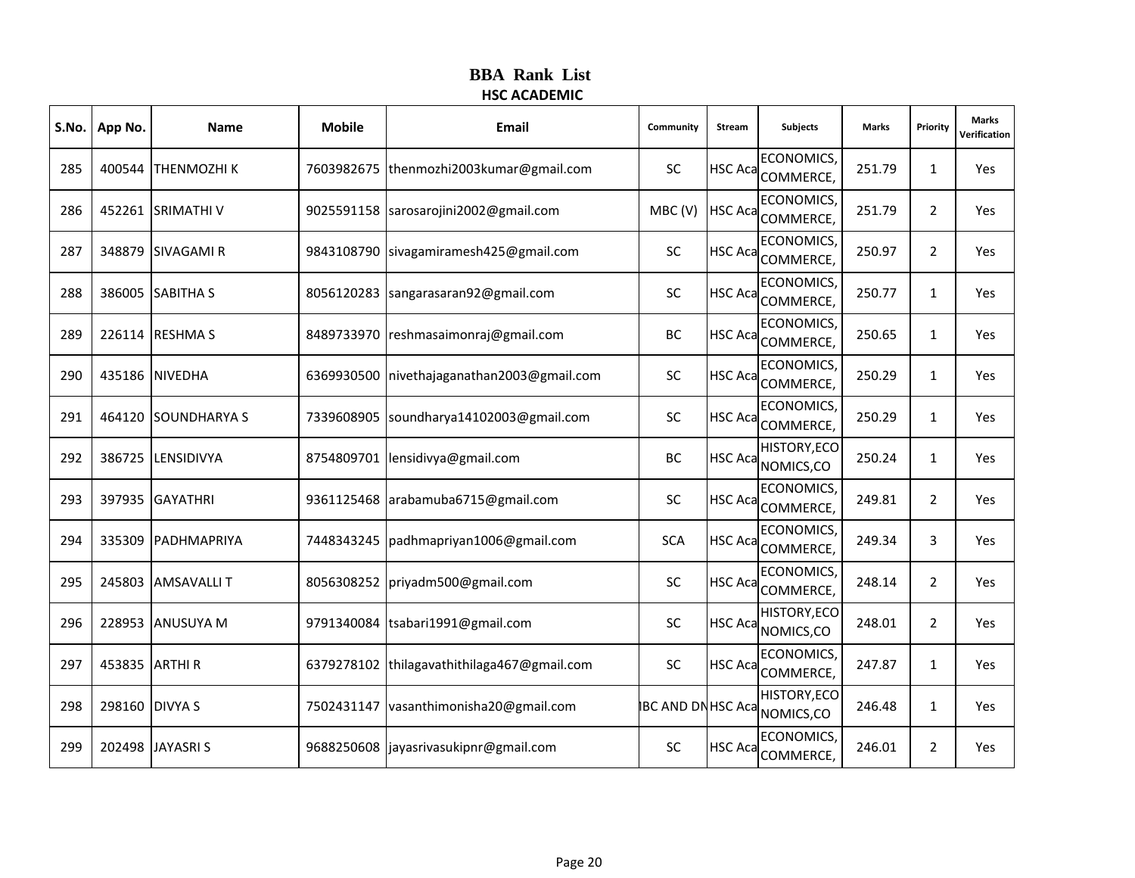| S.No. | App No.        | <b>Name</b>         | <b>Mobile</b> | Email                                       | Community                | <b>Stream</b>  | <b>Subjects</b>                       | <b>Marks</b> | Priority       | <b>Marks</b><br>Verification |
|-------|----------------|---------------------|---------------|---------------------------------------------|--------------------------|----------------|---------------------------------------|--------------|----------------|------------------------------|
| 285   |                | 400544 THENMOZHI K  |               | 7603982675  thenmozhi2003kumar@gmail.com    | <b>SC</b>                |                | <b>ECONOMICS</b><br>HSC Aca COMMERCE, | 251.79       | $\mathbf{1}$   | Yes                          |
| 286   |                | 452261 SRIMATHI V   |               | 9025591158  sarosarojini2002@gmail.com      | MBC(V)                   | <b>HSC Aca</b> | <b>ECONOMICS</b><br>COMMERCE,         | 251.79       | $\overline{2}$ | Yes                          |
| 287   |                | 348879 SIVAGAMI R   | 9843108790    | sivagamiramesh425@gmail.com                 | <b>SC</b>                | <b>HSC Aca</b> | ECONOMICS,<br>COMMERCE,               | 250.97       | $\overline{2}$ | Yes                          |
| 288   |                | 386005 SABITHA S    |               | 8056120283 sangarasaran92@gmail.com         | <b>SC</b>                |                | <b>ECONOMICS</b><br>HSC Aca COMMERCE, | 250.77       | $\mathbf{1}$   | Yes                          |
| 289   |                | 226114 RESHMA S     |               | 8489733970 reshmasaimonraj@gmail.com        | BC                       | <b>HSC Aca</b> | <b>ECONOMICS</b><br>COMMERCE,         | 250.65       | $\mathbf{1}$   | Yes                          |
| 290   |                | 435186 NIVEDHA      | 6369930500    | nivethajaganathan2003@gmail.com             | SC                       | <b>HSC Aca</b> | ECONOMICS,<br>COMMERCE,               | 250.29       | $\mathbf{1}$   | Yes                          |
| 291   |                | 464120 SOUNDHARYA S | 7339608905    | soundharya14102003@gmail.com                | <b>SC</b>                | <b>HSC Aca</b> | <b>ECONOMICS</b><br>COMMERCE,         | 250.29       | $\mathbf{1}$   | Yes                          |
| 292   |                | 386725 LENSIDIVYA   | 8754809701    | lensidivya@gmail.com                        | BC                       | <b>HSC Aca</b> | <b>HISTORY, ECO</b><br>NOMICS,CO      | 250.24       | $\mathbf{1}$   | Yes                          |
| 293   |                | 397935 GAYATHRI     | 9361125468    | arabamuba6715@gmail.com                     | SC                       | <b>HSC Aca</b> | ECONOMICS,<br>COMMERCE,               | 249.81       | $\overline{2}$ | Yes                          |
| 294   |                | 335309 PADHMAPRIYA  |               | 7448343245   padhmapriyan1006@gmail.com     | <b>SCA</b>               | <b>HSC Aca</b> | <b>ECONOMICS</b><br>COMMERCE,         | 249.34       | 3              | Yes                          |
| 295   |                | 245803 AMSAVALLIT   |               | 8056308252   priyadm500@gmail.com           | <b>SC</b>                | <b>HSC Aca</b> | ECONOMICS,<br>COMMERCE,               | 248.14       | $\overline{2}$ | Yes                          |
| 296   |                | 228953 ANUSUYA M    | 9791340084    | tsabari1991@gmail.com                       | <b>SC</b>                | <b>HSC Aca</b> | <b>HISTORY, ECO</b><br>NOMICS,CO      | 248.01       | $\overline{2}$ | Yes                          |
| 297   | 453835 ARTHI R |                     |               | 6379278102 thilagavathithilaga467@gmail.com | SC                       | <b>HSC Aca</b> | <b>ECONOMICS</b><br>COMMERCE,         | 247.87       | $\mathbf{1}$   | Yes                          |
| 298   | 298160 DIVYA S |                     | 7502431147    | vasanthimonisha20@gmail.com                 | <b>BC AND DN HSC Aca</b> |                | HISTORY, ECO<br>NOMICS,CO             | 246.48       | $\mathbf{1}$   | Yes                          |
| 299   |                | 202498 JAYASRIS     |               | 9688250608 jayasrivasukipnr@gmail.com       | <b>SC</b>                | <b>HSC Aca</b> | <b>ECONOMICS</b><br>COMMERCE,         | 246.01       | $\overline{2}$ | Yes                          |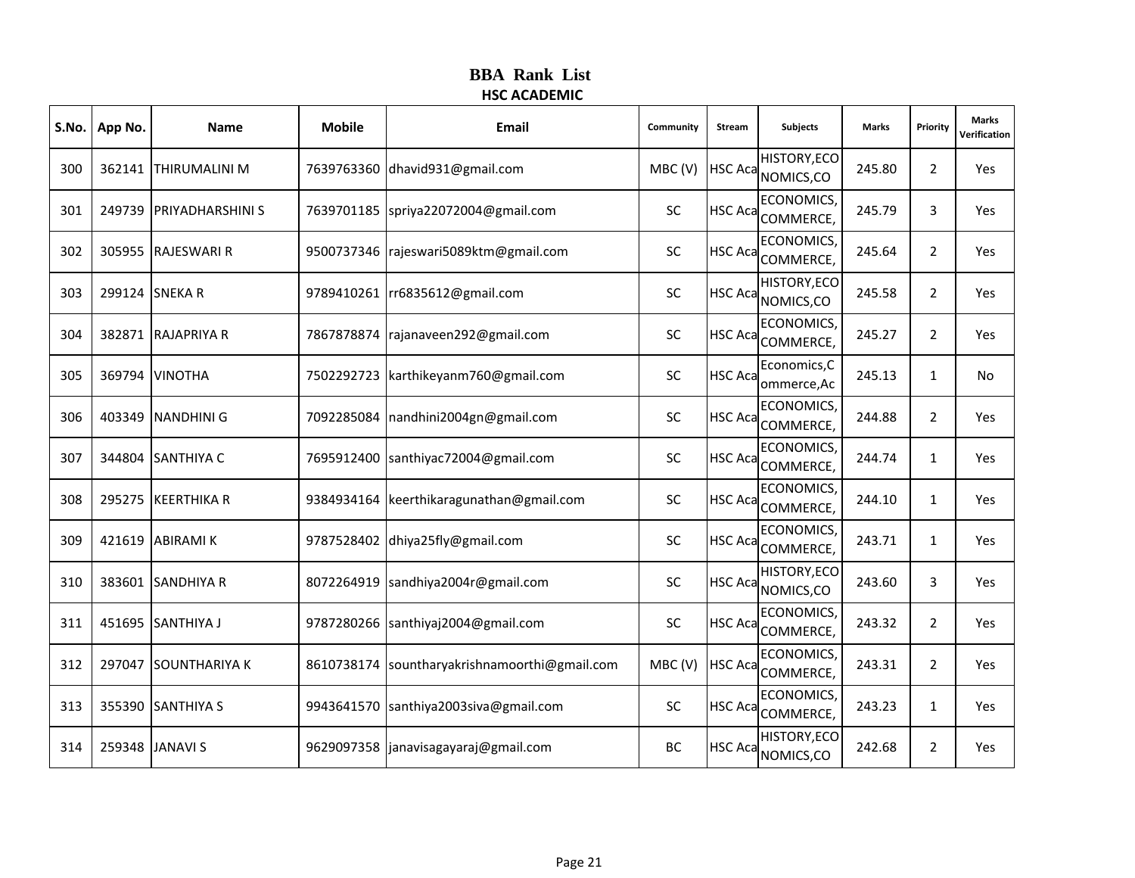|     | S.No. App No. | <b>Name</b>             | <b>Mobile</b> | Email                              | Community | Stream         | <b>Subjects</b>                       | <b>Marks</b> | Priority       | <b>Marks</b><br>Verification |
|-----|---------------|-------------------------|---------------|------------------------------------|-----------|----------------|---------------------------------------|--------------|----------------|------------------------------|
| 300 |               | 362141 THIRUMALINI M    | 7639763360    | dhavid931@gmail.com                | MBC(V)    |                | HISTORY, ECO<br>HSC Aca NOMICS, CO    | 245.80       | $\overline{2}$ | Yes                          |
| 301 |               | 249739 PRIYADHARSHINI S | 7639701185    | spriya22072004@gmail.com           | <b>SC</b> | <b>HSC Aca</b> | ECONOMICS,<br>COMMERCE,               | 245.79       | 3              | Yes                          |
| 302 |               | 305955 RAJESWARI R      | 9500737346    | rajeswari5089ktm@gmail.com         | <b>SC</b> | <b>HSC Aca</b> | ECONOMICS,<br>COMMERCE,               | 245.64       | $\overline{2}$ | Yes                          |
| 303 |               | 299124 SNEKA R          | 9789410261    | rr6835612@gmail.com                | SC        |                | HISTORY, ECO<br>HSC Aca NOMICS, CO    | 245.58       | $\overline{2}$ | Yes                          |
| 304 |               | 382871 RAJAPRIYA R      | 7867878874    | rajanaveen292@gmail.com            | <b>SC</b> | <b>HSC Aca</b> | ECONOMICS,<br>COMMERCE,               | 245.27       | $\overline{2}$ | Yes                          |
| 305 | 369794        | <b>VINOTHA</b>          | 7502292723    | karthikeyanm760@gmail.com          | SC        | <b>HSC Aca</b> | Economics, C<br>ommerce, Ac           | 245.13       | $\mathbf{1}$   | No                           |
| 306 |               | 403349 NANDHINI G       | 7092285084    | nandhini2004gn@gmail.com           | <b>SC</b> | <b>HSC Aca</b> | <b>ECONOMICS</b><br>COMMERCE,         | 244.88       | $\overline{2}$ | Yes                          |
| 307 |               | 344804 SANTHIYA C       | 7695912400    | santhiyac72004@gmail.com           | <b>SC</b> | <b>HSC Aca</b> | ECONOMICS,<br>COMMERCE,               | 244.74       | $\mathbf{1}$   | Yes                          |
| 308 |               | 295275 KEERTHIKA R      | 9384934164    | keerthikaragunathan@gmail.com      | <b>SC</b> | <b>HSC Aca</b> | ECONOMICS,<br>COMMERCE,               | 244.10       | $\mathbf{1}$   | Yes                          |
| 309 |               | 421619 ABIRAMI K        | 9787528402    | dhiya25fly@gmail.com               | <b>SC</b> |                | <b>ECONOMICS</b><br>HSC Aca COMMERCE, | 243.71       | $\mathbf{1}$   | Yes                          |
| 310 |               | 383601 SANDHIYA R       | 8072264919    | sandhiya2004r@gmail.com            | <b>SC</b> | <b>HSC Aca</b> | HISTORY, ECO<br>NOMICS,CO             | 243.60       | 3              | Yes                          |
| 311 |               | 451695 SANTHIYA J       | 9787280266    | santhiyaj2004@gmail.com            | SC        | <b>HSC Aca</b> | ECONOMICS,<br>COMMERCE,               | 243.32       | 2              | Yes                          |
| 312 |               | 297047 SOUNTHARIYA K    | 8610738174    | sountharyakrishnamoorthi@gmail.com | MBC(V)    | <b>HSC Aca</b> | <b>ECONOMICS</b><br>COMMERCE,         | 243.31       | $\overline{2}$ | Yes                          |
| 313 |               | 355390 SANTHIYA S       | 9943641570    | santhiya2003siva@gmail.com         | <b>SC</b> | <b>HSC Aca</b> | ECONOMICS,<br>COMMERCE,               | 243.23       | $\mathbf{1}$   | Yes                          |
| 314 |               | 259348 JANAVI S         | 9629097358    | janavisagayaraj@gmail.com          | BC        | <b>HSC Aca</b> | HISTORY, ECO<br>NOMICS,CO             | 242.68       | $\overline{2}$ | Yes                          |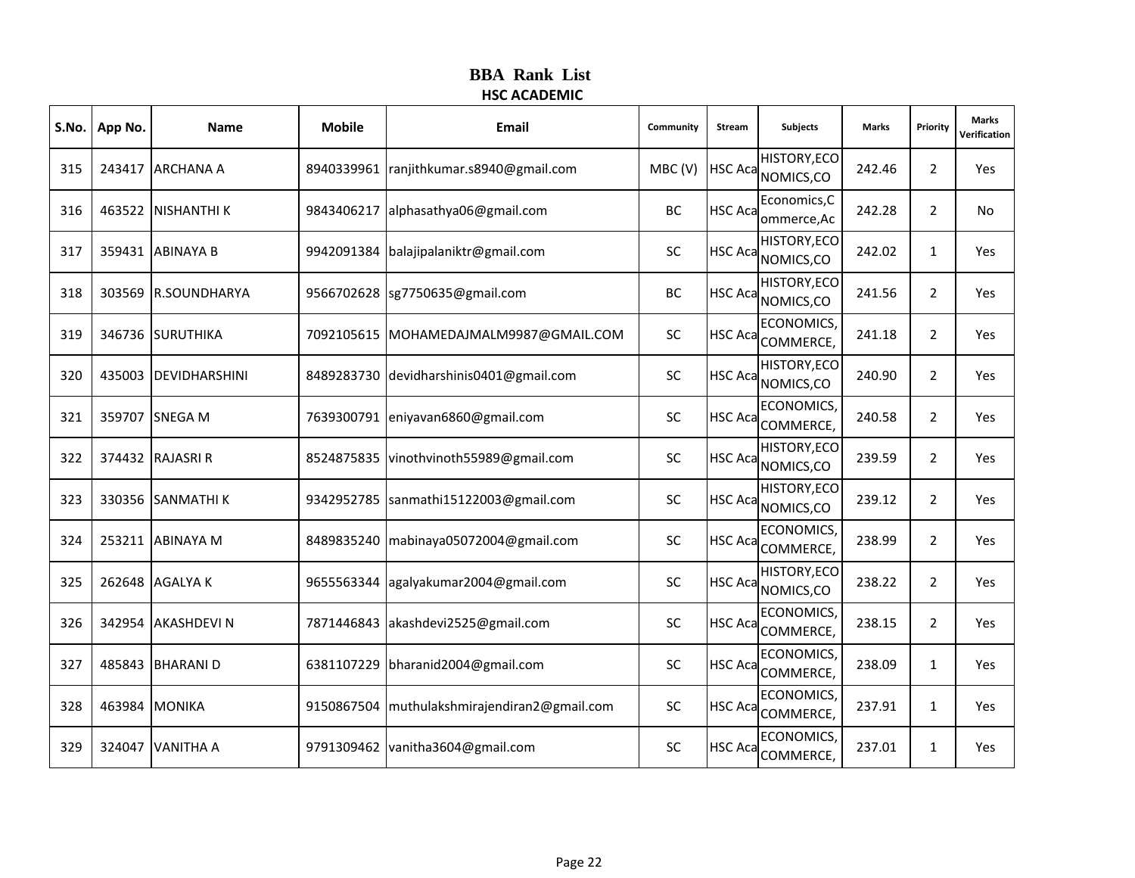|     | S.No.   App No. | <b>Name</b>         | <b>Mobile</b> | Email                             | Community | Stream         | <b>Subjects</b>                    | <b>Marks</b> | Priority       | <b>Marks</b><br>Verification |
|-----|-----------------|---------------------|---------------|-----------------------------------|-----------|----------------|------------------------------------|--------------|----------------|------------------------------|
| 315 |                 | 243417 ARCHANA A    | 8940339961    | ranjithkumar.s8940@gmail.com      | MBC(V)    |                | HISTORY, ECO<br>HSC Aca NOMICS, CO | 242.46       | $\overline{2}$ | Yes                          |
| 316 |                 | 463522 NISHANTHI K  | 9843406217    | alphasathya06@gmail.com           | ВC        | <b>HSC Aca</b> | Economics, C<br>ommerce, Ac        | 242.28       | $\overline{2}$ | No                           |
| 317 |                 | 359431 ABINAYA B    | 9942091384    | balajipalaniktr@gmail.com         | <b>SC</b> | <b>HSC Aca</b> | HISTORY, ECO<br>NOMICS, CO         | 242.02       | $\mathbf{1}$   | Yes                          |
| 318 |                 | 303569 R.SOUNDHARYA | 9566702628    | sg7750635@gmail.com               | BC        |                | HISTORY, ECO<br>HSC Aca NOMICS, CO | 241.56       | $\overline{2}$ | Yes                          |
| 319 |                 | 346736 SURUTHIKA    | 7092105615    | MOHAMEDAJMALM9987@GMAIL.COM       | <b>SC</b> | <b>HSC Aca</b> | ECONOMICS,<br>COMMERCE,            | 241.18       | $\overline{2}$ | Yes                          |
| 320 | 435003          | DEVIDHARSHINI       | 8489283730    | devidharshinis0401@gmail.com      | <b>SC</b> | <b>HSC Aca</b> | HISTORY, ECO<br>NOMICS,CO          | 240.90       | $\overline{2}$ | Yes                          |
| 321 |                 | 359707 SNEGA M      | 7639300791    | eniyavan6860@gmail.com            | SC        | <b>HSC Aca</b> | <b>ECONOMICS</b><br>COMMERCE,      | 240.58       | $\overline{2}$ | Yes                          |
| 322 |                 | 374432 RAJASRI R    | 8524875835    | vinothvinoth55989@gmail.com       | SC        | <b>HSC Aca</b> | HISTORY, ECO<br>NOMICS,CO          | 239.59       | $\overline{2}$ | Yes                          |
| 323 |                 | 330356 SANMATHI K   | 9342952785    | sanmathi15122003@gmail.com        | SC        | <b>HSC Aca</b> | HISTORY, ECO<br>NOMICS,CO          | 239.12       | $\overline{2}$ | Yes                          |
| 324 |                 | 253211 ABINAYA M    | 8489835240    | mabinaya05072004@gmail.com        | SC        | <b>HSC Aca</b> | <b>ECONOMICS</b><br>COMMERCE,      | 238.99       | $\overline{2}$ | Yes                          |
| 325 |                 | 262648 AGALYA K     | 9655563344    | agalyakumar2004@gmail.com         | <b>SC</b> | <b>HSC Aca</b> | HISTORY, ECO<br>NOMICS,CO          | 238.22       | $\overline{2}$ | Yes                          |
| 326 | 342954          | <b>AKASHDEVIN</b>   | 7871446843    | akashdevi2525@gmail.com           | <b>SC</b> | <b>HSC Aca</b> | ECONOMICS,<br>COMMERCE,            | 238.15       | $\overline{2}$ | Yes                          |
| 327 |                 | 485843 BHARANI D    | 6381107229    | bharanid2004@gmail.com            | <b>SC</b> | <b>HSC Aca</b> | <b>ECONOMICS</b><br>COMMERCE,      | 238.09       | $\mathbf{1}$   | Yes                          |
| 328 |                 | 463984 MONIKA       | 9150867504    | muthulakshmirajendiran2@gmail.com | <b>SC</b> | <b>HSC Aca</b> | ECONOMICS,<br>COMMERCE,            | 237.91       | $\mathbf{1}$   | Yes                          |
| 329 | 324047          | <b>VANITHA A</b>    | 9791309462    | vanitha3604@gmail.com             | <b>SC</b> | <b>HSC Aca</b> | <b>ECONOMICS</b><br>COMMERCE,      | 237.01       | $\mathbf{1}$   | Yes                          |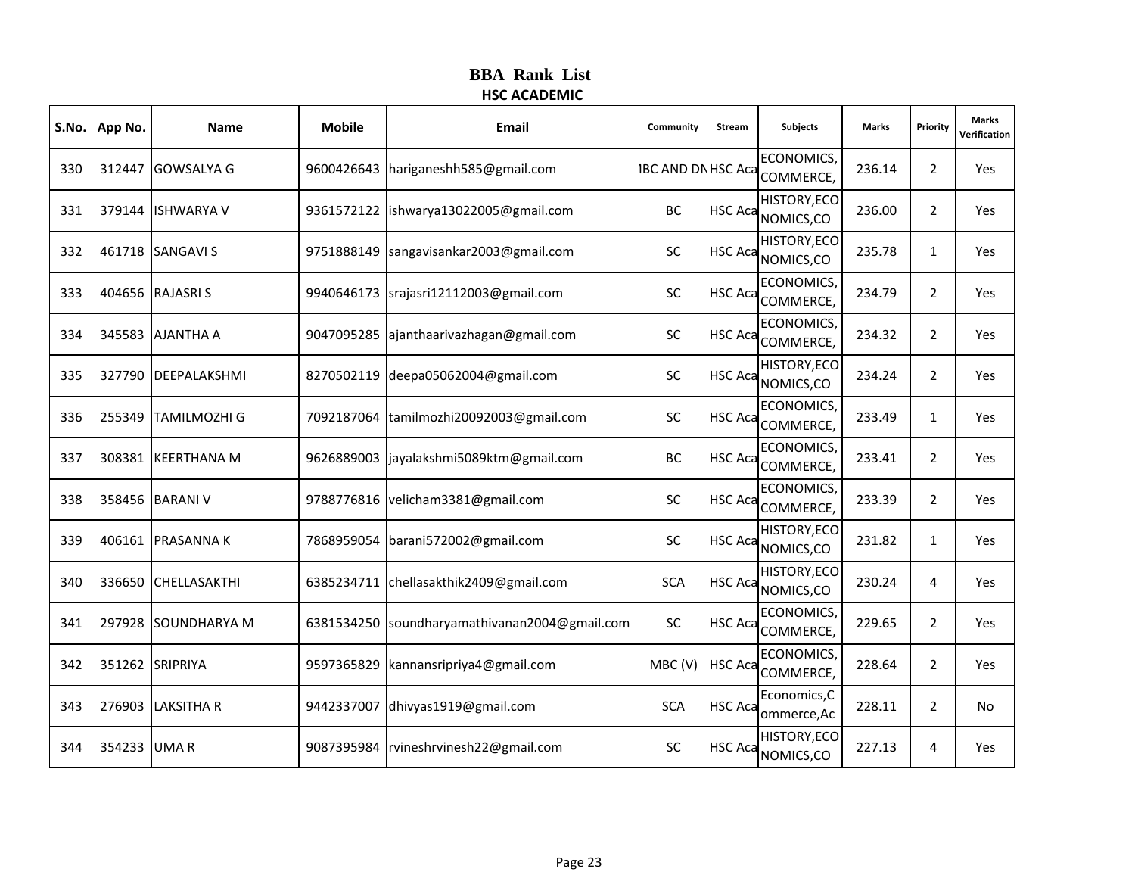|     | S.No. App No. | <b>Name</b>         | <b>Mobile</b> | <b>Email</b>                       | Community                 | Stream         | <b>Subjects</b>               | <b>Marks</b> | Priority       | <b>Marks</b><br>Verification |
|-----|---------------|---------------------|---------------|------------------------------------|---------------------------|----------------|-------------------------------|--------------|----------------|------------------------------|
| 330 |               | 312447 GOWSALYA G   | 9600426643    | hariganeshh585@gmail.com           | <b>IBC AND DN HSC Aca</b> |                | <b>ECONOMICS</b><br>COMMERCE, | 236.14       | $\overline{2}$ | Yes                          |
| 331 |               | 379144 ISHWARYA V   | 9361572122    | ishwarya13022005@gmail.com         | BC                        | <b>HSC Aca</b> | HISTORY, ECO<br>NOMICS,CO     | 236.00       | $\overline{2}$ | Yes                          |
| 332 |               | 461718 SANGAVI S    | 9751888149    | sangavisankar2003@gmail.com        | <b>SC</b>                 | <b>HSC Aca</b> | HISTORY, ECO<br>NOMICS,CO     | 235.78       | $\mathbf{1}$   | Yes                          |
| 333 |               | 404656 RAJASRIS     | 9940646173    | srajasri12112003@gmail.com         | SC                        | <b>HSC Aca</b> | <b>ECONOMICS</b><br>COMMERCE, | 234.79       | $\overline{2}$ | Yes                          |
| 334 |               | 345583 AJANTHA A    | 9047095285    | ajanthaarivazhagan@gmail.com       | <b>SC</b>                 | <b>HSC Aca</b> | ECONOMICS,<br>COMMERCE,       | 234.32       | $\overline{2}$ | Yes                          |
| 335 | 327790        | DEEPALAKSHMI        | 8270502119    | deepa05062004@gmail.com            | <b>SC</b>                 | <b>HSC Aca</b> | HISTORY, ECO<br>NOMICS, CO    | 234.24       | $\overline{2}$ | Yes                          |
| 336 | 255349        | <b>TAMILMOZHI G</b> | 7092187064    | tamilmozhi20092003@gmail.com       | <b>SC</b>                 | <b>HSC Aca</b> | <b>ECONOMICS</b><br>COMMERCE, | 233.49       | $\mathbf{1}$   | Yes                          |
| 337 |               | 308381 KEERTHANA M  | 9626889003    | jayalakshmi5089ktm@gmail.com       | BC                        | <b>HSC Aca</b> | ECONOMICS,<br>COMMERCE,       | 233.41       | $\overline{2}$ | Yes                          |
| 338 |               | 358456 BARANI V     | 9788776816    | velicham3381@gmail.com             | <b>SC</b>                 | <b>HSC Aca</b> | <b>ECONOMICS</b><br>COMMERCE, | 233.39       | $\overline{2}$ | Yes                          |
| 339 |               | 406161 PRASANNA K   | 7868959054    | barani572002@gmail.com             | <b>SC</b>                 | <b>HSC Aca</b> | HISTORY, ECO<br>NOMICS, CO    | 231.82       | $\mathbf{1}$   | Yes                          |
| 340 |               | 336650 CHELLASAKTHI | 6385234711    | chellasakthik2409@gmail.com        | <b>SCA</b>                | HSC Aca        | HISTORY, ECO<br>NOMICS,CO     | 230.24       | 4              | Yes                          |
| 341 |               | 297928 SOUNDHARYA M | 6381534250    | soundharyamathivanan2004@gmail.com | <b>SC</b>                 | HSC Aca        | <b>ECONOMICS</b><br>COMMERCE, | 229.65       | $\overline{2}$ | Yes                          |
| 342 |               | 351262 SRIPRIYA     | 9597365829    | kannansripriya4@gmail.com          | MBC(V)                    | <b>HSC Aca</b> | <b>ECONOMICS</b><br>COMMERCE, | 228.64       | $\overline{2}$ | Yes                          |
| 343 |               | 276903 LAKSITHA R   | 9442337007    | dhivyas1919@gmail.com              | <b>SCA</b>                | <b>HSC Aca</b> | Economics, C<br>ommerce, Ac   | 228.11       | $\overline{2}$ | No                           |
| 344 | 354233 UMA R  |                     | 9087395984    | rvineshrvinesh22@gmail.com         | <b>SC</b>                 | <b>HSC Aca</b> | HISTORY, ECO<br>NOMICS,CO     | 227.13       | 4              | Yes                          |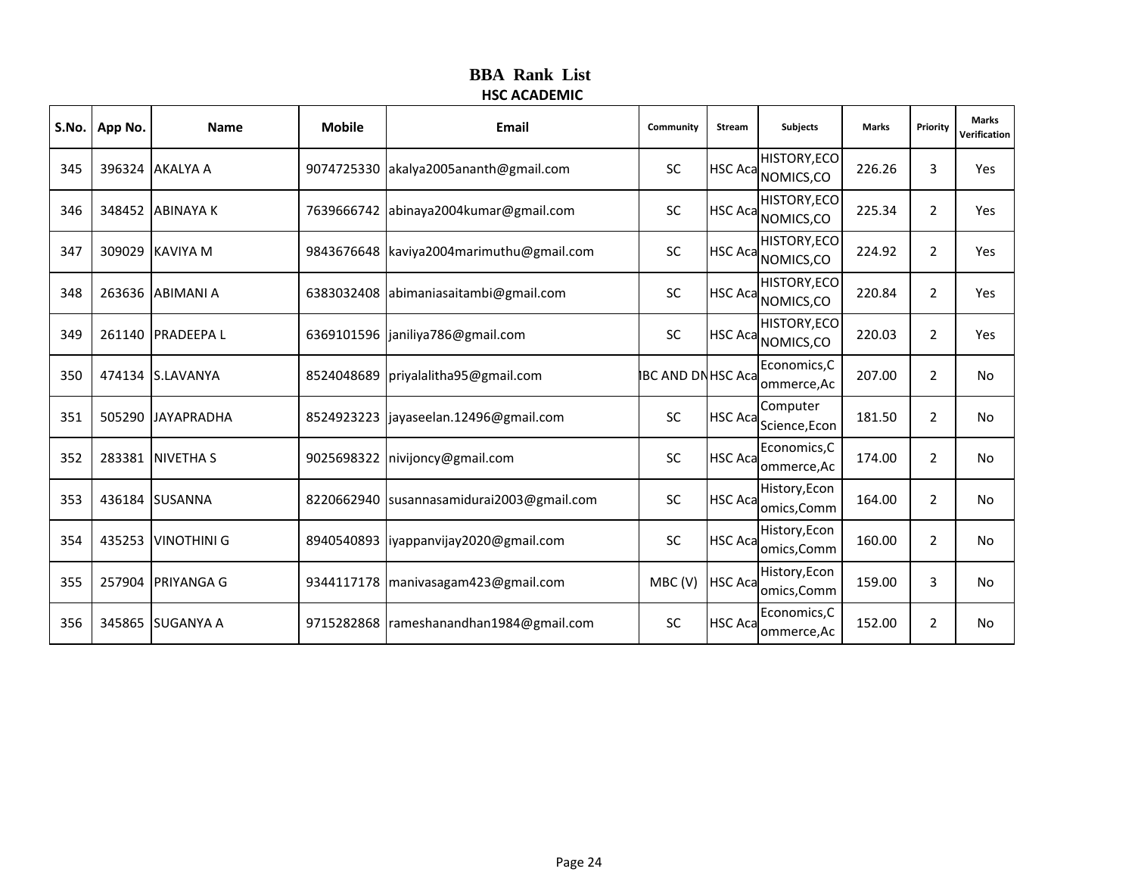| S.No. | App No. | <b>Name</b>        | <b>Mobile</b> | <b>Email</b>                                | Community                | <b>Stream</b>  | <b>Subjects</b>                           | Marks  | Priority       | <b>Marks</b><br>Verification |
|-------|---------|--------------------|---------------|---------------------------------------------|--------------------------|----------------|-------------------------------------------|--------|----------------|------------------------------|
| 345   |         | 396324 AKALYA A    |               | 9074725330 akalya2005ananth@gmail.com       | SC                       |                | <b>HISTORY, ECO</b><br>HSC Aca NOMICS, CO | 226.26 | 3              | Yes                          |
| 346   |         | 348452 ABINAYA K   |               | 7639666742 abinaya2004kumar@gmail.com       | <b>SC</b>                |                | <b>HISTORY, ECO</b><br>HSC Aca NOMICS, CO | 225.34 | $\overline{2}$ | Yes                          |
| 347   |         | 309029 KAVIYA M    |               | 9843676648   kaviya2004 marimuthu@gmail.com | SC                       | <b>HSC Aca</b> | HISTORY, ECO<br>NOMICS,CO                 | 224.92 | $\overline{2}$ | Yes                          |
| 348   |         | 263636 ABIMANI A   | 6383032408    | abimaniasaitambi@gmail.com                  | <b>SC</b>                |                | <b>HISTORY, ECO</b><br>HSC Aca NOMICS, CO | 220.84 | $\overline{2}$ | Yes                          |
| 349   |         | 261140 PRADEEPA L  |               | 6369101596 janiliya786@gmail.com            | SC                       |                | <b>HISTORY, ECO</b><br>HSC Aca NOMICS, CO | 220.03 | $\overline{2}$ | Yes                          |
| 350   |         | 474134 S.LAVANYA   | 8524048689    | priyalalitha95@gmail.com                    | <b>BC AND DN HSC Aca</b> |                | Economics, C<br>ommerce, Ac               | 207.00 | $\overline{2}$ | No                           |
| 351   |         | 505290 JAYAPRADHA  |               | 8524923223   jayaseelan.12496@gmail.com     | <b>SC</b>                | <b>HSC Aca</b> | Computer<br>Science, Econ                 | 181.50 | $\overline{2}$ | <b>No</b>                    |
| 352   |         | 283381 NIVETHA S   | 9025698322    | nivijoncy@gmail.com                         | <b>SC</b>                | <b>HSC Aca</b> | Economics, C<br>ommerce, Ac               | 174.00 | $\overline{2}$ | <b>No</b>                    |
| 353   |         | 436184 SUSANNA     | 8220662940    | susannasamidurai2003@gmail.com              | SC                       | <b>HSC Aca</b> | History, Econ<br>omics, Comm              | 164.00 | $\overline{2}$ | <b>No</b>                    |
| 354   |         | 435253 VINOTHINI G |               | 8940540893 liyappanvijay2020@gmail.com      | SC                       | <b>HSC Aca</b> | History, Econ<br>omics, Comm              | 160.00 | $\overline{2}$ | No                           |
| 355   | 257904  | PRIYANGA G         |               | 9344117178   manivasagam423@gmail.com       | MBC(V)                   | <b>HSC Aca</b> | History, Econ<br>omics, Comm              | 159.00 | 3              | No                           |
| 356   |         | 345865 SUGANYA A   |               | 9715282868   rameshanandhan1984@gmail.com   | SC                       | <b>HSC Aca</b> | Economics, C<br>ommerce, Ac               | 152.00 | 2              | No                           |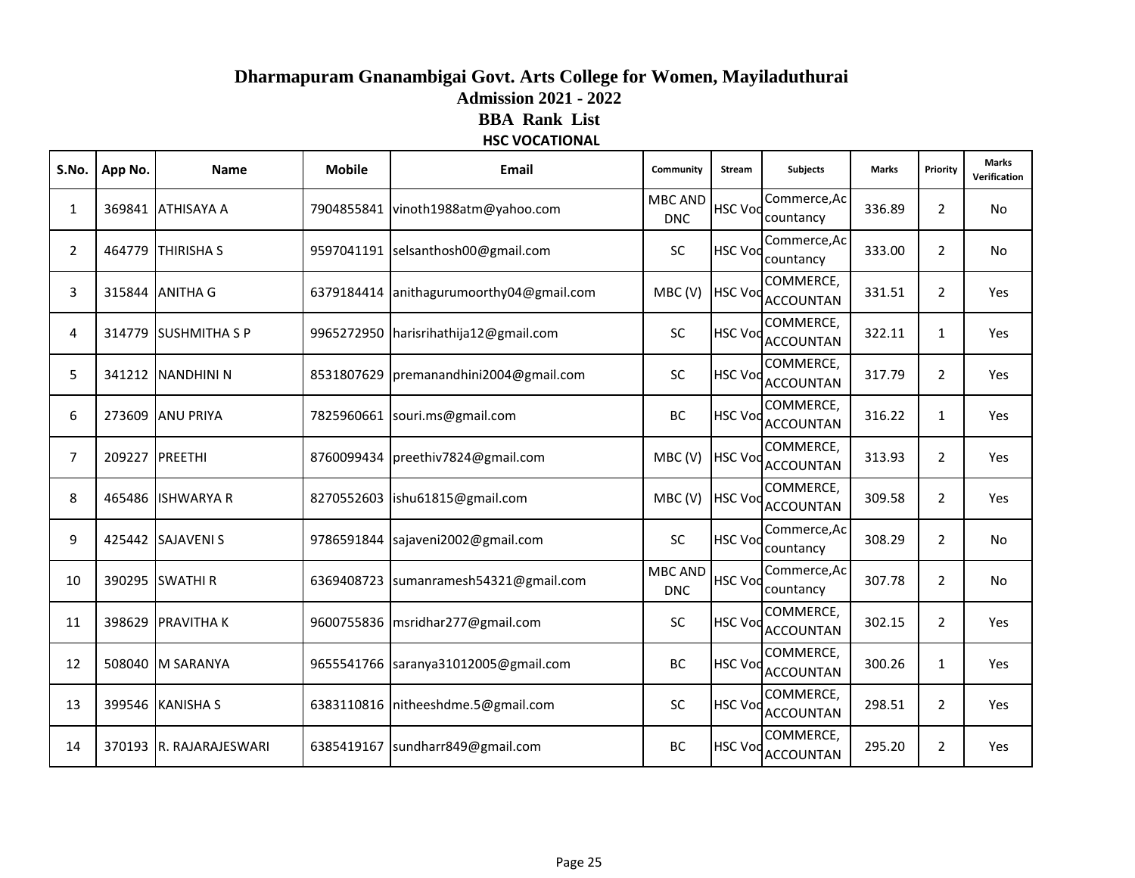# **Dharmapuram Gnanambigai Govt. Arts College for Women, Mayiladuthurai Admission 2021 - 2022 BBA Rank List HSC VOCATIONAL**

| S.No.          | App No.        | Name                    | <b>Mobile</b> | Email                                  | Community                    | Stream         | <b>Subjects</b>               | <b>Marks</b> | Priority       | <b>Marks</b><br>Verification |
|----------------|----------------|-------------------------|---------------|----------------------------------------|------------------------------|----------------|-------------------------------|--------------|----------------|------------------------------|
| 1              |                | 369841 ATHISAYA A       |               | 7904855841 vinoth1988atm@yahoo.com     | <b>MBC AND</b><br><b>DNC</b> | <b>HSC Vod</b> | Commerce, Ac<br>countancy     | 336.89       | $\overline{2}$ | <b>No</b>                    |
| $\overline{2}$ |                | 464779 THIRISHA S       |               | 9597041191 selsanthosh00@gmail.com     | SC                           | <b>HSC Voc</b> | Commerce, Ac<br>countancy     | 333.00       | $\overline{2}$ | No                           |
| 3              |                | 315844 ANITHA G         | 6379184414    | anithagurumoorthy04@gmail.com          | MBC (V)                      | <b>HSC Vod</b> | COMMERCE,<br><b>ACCOUNTAN</b> | 331.51       | $\overline{2}$ | Yes                          |
| 4              |                | 314779 SUSHMITHA S P    |               | 9965272950 harisrihathija12@gmail.com  | SC                           | <b>HSC Voc</b> | COMMERCE,<br><b>ACCOUNTAN</b> | 322.11       | $\mathbf{1}$   | Yes                          |
| 5              |                | 341212 NANDHINI N       |               | 8531807629 premanandhini2004@gmail.com | SC                           | <b>HSC Vod</b> | COMMERCE,<br>ACCOUNTAN        | 317.79       | $\overline{2}$ | Yes                          |
| 6              |                | 273609 ANU PRIYA        |               | 7825960661 souri.ms@gmail.com          | <b>BC</b>                    | <b>HSC Vod</b> | COMMERCE,<br><b>ACCOUNTAN</b> | 316.22       | $\mathbf{1}$   | Yes                          |
| $\overline{7}$ | 209227 PREETHI |                         |               | 8760099434   preethiv 7824@gmail.com   | MBC (V)                      | <b>HSC Vod</b> | COMMERCE,<br><b>ACCOUNTAN</b> | 313.93       | $\overline{2}$ | Yes                          |
| 8              |                | 465486 ISHWARYA R       |               | 8270552603   ishu61815@gmail.com       | MBC(V)                       | <b>HSC Voc</b> | COMMERCE,<br><b>ACCOUNTAN</b> | 309.58       | $\overline{2}$ | Yes                          |
| 9              |                | 425442 SAJAVENI S       |               | 9786591844 sajaveni2002@gmail.com      | SC                           | <b>HSC Vod</b> | Commerce, Ac<br>countancy     | 308.29       | $\overline{2}$ | No                           |
| 10             |                | 390295 SWATHI R         |               | 6369408723 sumanramesh54321@gmail.com  | <b>MBC AND</b><br><b>DNC</b> | <b>HSC Vod</b> | Commerce, Ac<br>countancy     | 307.78       | $\overline{2}$ | No                           |
| 11             |                | 398629 PRAVITHA K       |               | 9600755836   msridhar277@gmail.com     | <b>SC</b>                    | <b>HSC Vod</b> | COMMERCE,<br><b>ACCOUNTAN</b> | 302.15       | $\mathbf{2}$   | Yes                          |
| 12             |                | 508040 M SARANYA        |               | 9655541766 saranya31012005@gmail.com   | BC                           | <b>HSC Voc</b> | COMMERCE,<br><b>ACCOUNTAN</b> | 300.26       | $\mathbf{1}$   | Yes                          |
| 13             |                | 399546 KANISHA S        |               | 6383110816 nitheeshdme.5@gmail.com     | SC                           | <b>HSC Voc</b> | COMMERCE,<br><b>ACCOUNTAN</b> | 298.51       | $\overline{2}$ | Yes                          |
| 14             |                | 370193 R. RAJARAJESWARI |               | 6385419167 sundharr849@gmail.com       | BC                           | <b>HSC Vod</b> | COMMERCE,<br><b>ACCOUNTAN</b> | 295.20       | $\mathbf{2}$   | Yes                          |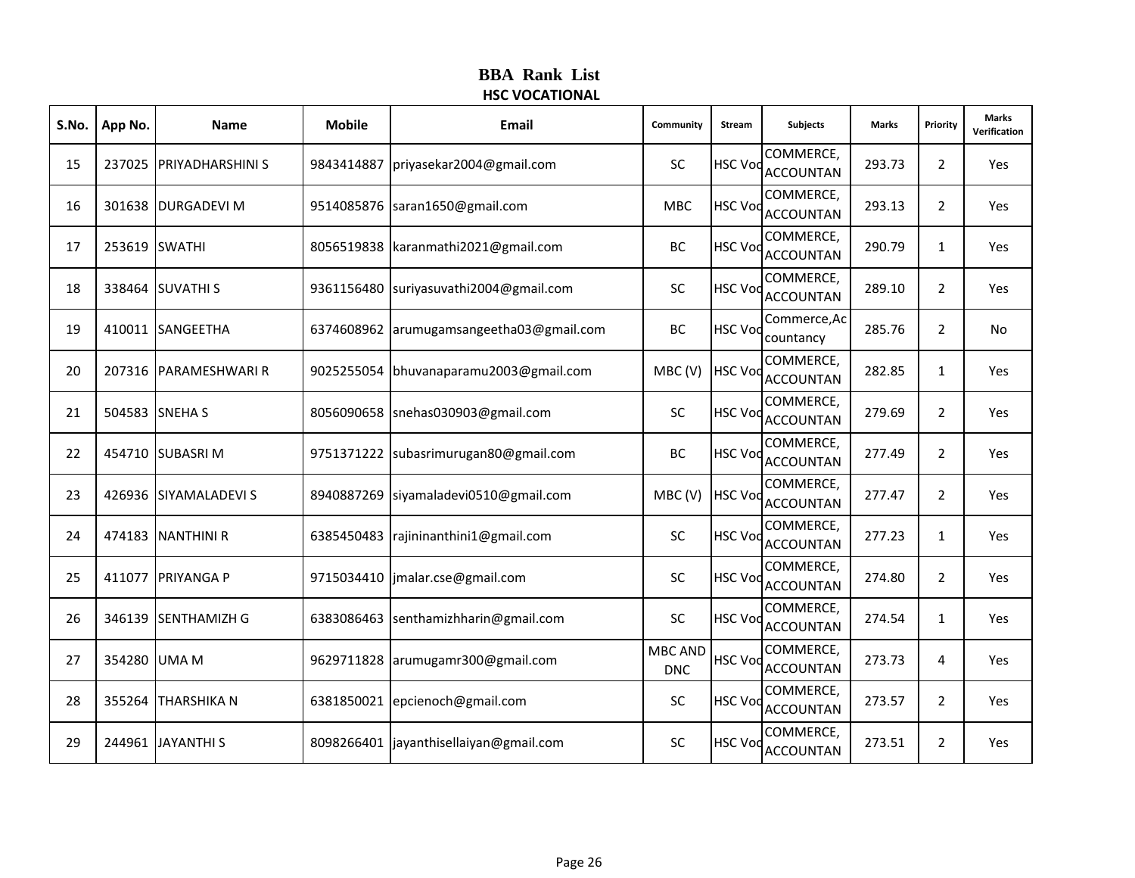# **BBA Rank List HSC VOCATIONAL**

| S.No. | App No.       | <b>Name</b>             | <b>Mobile</b> | Email                                    | Community                    | Stream         | Subjects                      | <b>Marks</b> | Priority       | <b>Marks</b><br>Verification |
|-------|---------------|-------------------------|---------------|------------------------------------------|------------------------------|----------------|-------------------------------|--------------|----------------|------------------------------|
| 15    |               | 237025 PRIYADHARSHINI S | 9843414887    | priyasekar2004@gmail.com                 | <b>SC</b>                    | <b>HSC Vod</b> | COMMERCE,<br><b>ACCOUNTAN</b> | 293.73       | $\overline{2}$ | Yes                          |
| 16    |               | 301638 DURGADEVI M      |               | 9514085876 saran1650@gmail.com           | <b>MBC</b>                   | <b>HSC Vod</b> | COMMERCE,<br><b>ACCOUNTAN</b> | 293.13       | $\overline{2}$ | Yes                          |
| 17    | 253619 SWATHI |                         |               | 8056519838 karanmathi2021@gmail.com      | BC                           | <b>HSC Voc</b> | COMMERCE,<br><b>ACCOUNTAN</b> | 290.79       | $\mathbf{1}$   | Yes                          |
| 18    |               | 338464 SUVATHI S        |               | 9361156480 suriyasuvathi2004@gmail.com   | SC                           | <b>HSC Voc</b> | COMMERCE,<br><b>ACCOUNTAN</b> | 289.10       | $\overline{2}$ | Yes                          |
| 19    | 410011        | <b>SANGEETHA</b>        |               | 6374608962 arumugamsangeetha03@gmail.com | BC                           | <b>HSC Vod</b> | Commerce, Ac<br>countancy     | 285.76       | $\overline{2}$ | No                           |
| 20    | 207316        | <b>PARAMESHWARI R</b>   | 9025255054    | bhuvanaparamu2003@gmail.com              | MBC(V)                       | <b>HSC Voc</b> | COMMERCE,<br><b>ACCOUNTAN</b> | 282.85       | $\mathbf{1}$   | Yes                          |
| 21    |               | 504583 SNEHA S          |               | 8056090658 snehas030903@gmail.com        | SC                           | <b>HSC Voc</b> | COMMERCE,<br><b>ACCOUNTAN</b> | 279.69       | $\overline{2}$ | Yes                          |
| 22    |               | 454710 SUBASRI M        |               | 9751371222 subasrimurugan80@gmail.com    | BC                           | <b>HSC Vod</b> | COMMERCE,<br><b>ACCOUNTAN</b> | 277.49       | $\overline{2}$ | Yes                          |
| 23    |               | 426936 SIYAMALADEVI S   | 8940887269    | siyamaladevi0510@gmail.com               | MBC(V)                       | <b>HSC Vod</b> | COMMERCE,<br><b>ACCOUNTAN</b> | 277.47       | $\overline{2}$ | Yes                          |
| 24    |               | 474183 NANTHINI R       |               | 6385450483 rajininanthini1@gmail.com     | <b>SC</b>                    | <b>HSC Voc</b> | COMMERCE,<br><b>ACCOUNTAN</b> | 277.23       | $\mathbf{1}$   | Yes                          |
| 25    |               | 411077 PRIYANGA P       |               | 9715034410   jmalar.cse@gmail.com        | SC                           | <b>HSC Vod</b> | COMMERCE,<br><b>ACCOUNTAN</b> | 274.80       | $\overline{2}$ | Yes                          |
| 26    | 346139        | <b>SENTHAMIZH G</b>     | 6383086463    | senthamizhharin@gmail.com                | SC                           | <b>HSC Voc</b> | COMMERCE,<br><b>ACCOUNTAN</b> | 274.54       | $\mathbf{1}$   | Yes                          |
| 27    | 354280        | <b>UMAM</b>             |               | 9629711828 arumugamr300@gmail.com        | <b>MBC AND</b><br><b>DNC</b> | <b>HSC Voc</b> | COMMERCE,<br><b>ACCOUNTAN</b> | 273.73       | 4              | Yes                          |
| 28    | 355264        | <b>THARSHIKA N</b>      | 6381850021    | epcienoch@gmail.com                      | SC                           | <b>HSC Vod</b> | COMMERCE,<br><b>ACCOUNTAN</b> | 273.57       | $\overline{2}$ | Yes                          |
| 29    | 244961        | <b>JAYANTHI S</b>       |               | 8098266401 jayanthisellaiyan@gmail.com   | SC                           | <b>HSC Voc</b> | COMMERCE,<br><b>ACCOUNTAN</b> | 273.51       | $\overline{2}$ | Yes                          |